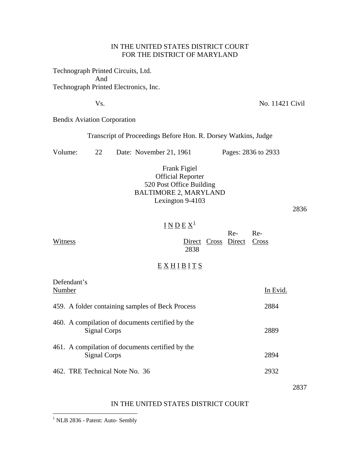### IN THE UNITED STATES DISTRICT COURT FOR THE DISTRICT OF MARYLAND

Technograph Printed Circuits, Ltd. And Technograph Printed Electronics, Inc.

Vs. No. 11421 Civil

Bendix Aviation Corporation

Transcript of Proceedings Before Hon. R. Dorsey Watkins, Judge

| Volume: |  | Date: November 21, 1961 | Pages: 2836 to 2933 |
|---------|--|-------------------------|---------------------|
|---------|--|-------------------------|---------------------|

# Frank Figiel Official Reporter 520 Post Office Building BALTIMORE 2, MARYLAND Lexington 9-4103

2836

# <u>I N D E  $\mathrm{X}^1$  $\mathrm{X}^1$ </u>

| Witness                                                          | 2838     |  | $Re-$<br>Direct Cross Direct Cross | $Re-$ |          |
|------------------------------------------------------------------|----------|--|------------------------------------|-------|----------|
|                                                                  | EXHIBITS |  |                                    |       |          |
| Defendant's<br>Number                                            |          |  |                                    |       | In Evid. |
| 459. A folder containing samples of Beck Process                 |          |  |                                    |       | 2884     |
| 460. A compilation of documents certified by the<br>Signal Corps |          |  |                                    |       |          |

- 461. A compilation of documents certified by the Signal Corps 2894
- 462. TRE Technical Note No. 36 2932

2837

### IN THE UNITED STATES DISTRICT COURT

<span id="page-0-0"></span><sup>1</sup> NLB 2836 - Patent: Auto- Sembly

 $\overline{a}$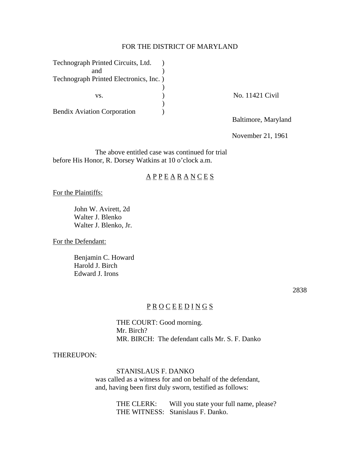### FOR THE DISTRICT OF MARYLAND

| Technograph Printed Circuits, Ltd.      |                     |
|-----------------------------------------|---------------------|
| and                                     |                     |
| Technograph Printed Electronics, Inc. ) |                     |
|                                         |                     |
| VS.                                     | No. 11421 Civil     |
|                                         |                     |
| <b>Bendix Aviation Corporation</b>      |                     |
|                                         | Baltimore, Maryland |

November 21, 1961

The above entitled case was continued for trial before His Honor, R. Dorsey Watkins at 10 o'clock a.m.

## $\underline{A} \underline{P} \underline{P} \underline{E} \underline{A} \underline{R} \underline{A} \underline{N} \underline{C} \underline{E} \underline{S}$

For the Plaintiffs:

 John W. Avirett, 2d Walter J. Blenko Walter J. Blenko, Jr.

For the Defendant:

 Benjamin C. Howard Harold J. Birch Edward J. Irons

2838

## P R O C E E D I N G S

 THE COURT: Good morning. Mr. Birch? MR. BIRCH: The defendant calls Mr. S. F. Danko

THEREUPON:

 STANISLAUS F. DANKO was called as a witness for and on behalf of the defendant, and, having been first duly sworn, testified as follows:

> THE CLERK: Will you state your full name, please? THE WITNESS: Stanislaus F. Danko.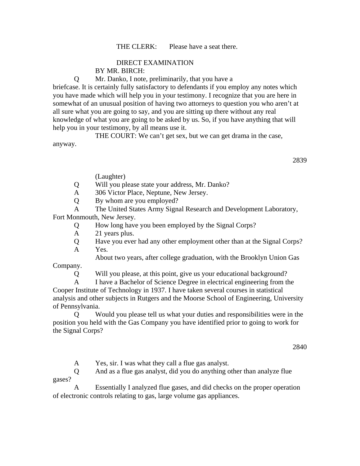### THE CLERK: Please have a seat there.

# DIRECT EXAMINATION

BY MR. BIRCH:

Q Mr. Danko, I note, preliminarily, that you have a

briefcase. It is certainly fully satisfactory to defendants if you employ any notes which you have made which will help you in your testimony. I recognize that you are here in somewhat of an unusual position of having two attorneys to question you who aren't at all sure what you are going to say, and you are sitting up there without any real knowledge of what you are going to be asked by us. So, if you have anything that will help you in your testimony, by all means use it.

 THE COURT: We can't get sex, but we can get drama in the case, anyway.

2839

(Laughter)

Q Will you please state your address, Mr. Danko?

A 306 Victor Place, Neptune, New Jersey.

Q By whom are you employed?

A The United States Army Signal Research and Development Laboratory,

Fort Monmouth, New Jersey.

Q How long have you been employed by the Signal Corps?

A 21 years plus.

 Q Have you ever had any other employment other than at the Signal Corps? A Yes.

About two years, after college graduation, with the Brooklyn Union Gas

Company.

Q Will you please, at this point, give us your educational background?

 A I have a Bachelor of Science Degree in electrical engineering from the Cooper Institute of Technology in 1937. I have taken several courses in statistical analysis and other subjects in Rutgers and the Moorse School of Engineering, University of Pennsylvania.

 Q Would you please tell us what your duties and responsibilities were in the position you held with the Gas Company you have identified prior to going to work for the Signal Corps?

2840

A Yes, sir. I was what they call a flue gas analyst.

 Q And as a flue gas analyst, did you do anything other than analyze flue gases?

 A Essentially I analyzed flue gases, and did checks on the proper operation of electronic controls relating to gas, large volume gas appliances.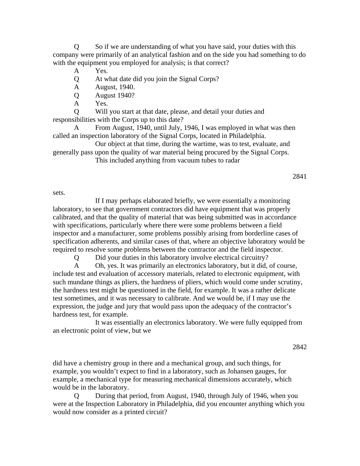Q So if we are understanding of what you have said, your duties with this company were primarily of an analytical fashion and on the side you had something to do with the equipment you employed for analysis; is that correct?

- A Yes.
- Q At what date did you join the Signal Corps?
- A August, 1940.
- Q August 1940?
- A Yes.

 Q Will you start at that date, please, and detail your duties and responsibilities with the Corps up to this date?

 A From August, 1940, until July, 1946, I was employed in what was then called an inspection laboratory of the Signal Corps, located in Philadelphia.

 Our object at that time, during the wartime, was to test, evaluate, and generally pass upon the quality of war material being procured by the Signal Corps. This included anything from vacuum tubes to radar

sets.

 If I may perhaps elaborated briefly, we were essentially a monitoring laboratory, to see that government contractors did have equipment that was properly calibrated, and that the quality of material that was being submitted was in accordance with specifications, particularly where there were some problems between a field inspector and a manufacturer, some problems possibly arising from borderline cases of specification adherents, and similar cases of that, where an objective laboratory would be required to resolve some problems between the contractor and the field inspector.

Q Did your duties in this laboratory involve electrical circuitry?

 A Oh, yes. It was primarily an electronics laboratory, but it did, of course, include test and evaluation of accessory materials, related to electronic equipment, with such mundane things as pliers, the hardness of pliers, which would come under scrutiny, the hardness test might be questioned in the field, for example. It was a rather delicate test sometimes, and it was necessary to calibrate. And we would be, if I may use the expression, the judge and jury that would pass upon the adequacy of the contractor's hardness test, for example.

 It was essentially an electronics laboratory. We were fully equipped from an electronic point of view, but we

2842

did have a chemistry group in there and a mechanical group, and such things, for example, you wouldn't expect to find in a laboratory, such as Johansen gauges, for example, a mechanical type for measuring mechanical dimensions accurately, which would be in the laboratory.

During that period, from August, 1940, through July of 1946, when you were at the Inspection Laboratory in Philadelphia, did you encounter anything which you would now consider as a printed circuit?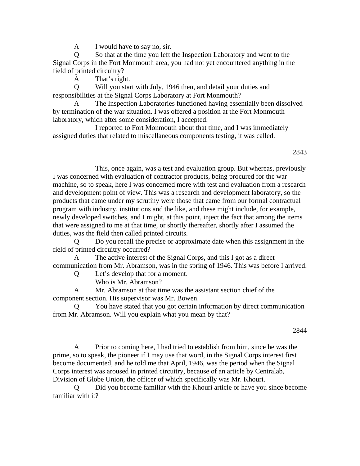A I would have to say no, sir.

 Q So that at the time you left the Inspection Laboratory and went to the Signal Corps in the Fort Monmouth area, you had not yet encountered anything in the field of printed circuitry?

A That's right.

 Q Will you start with July, 1946 then, and detail your duties and responsibilities at the Signal Corps Laboratory at Fort Monmouth?

 A The Inspection Laboratories functioned having essentially been dissolved by termination of the war situation. I was offered a position at the Fort Monmouth laboratory, which after some consideration, I accepted.

 I reported to Fort Monmouth about that time, and I was immediately assigned duties that related to miscellaneous components testing, it was called.

2843

 This, once again, was a test and evaluation group. But whereas, previously I was concerned with evaluation of contractor products, being procured for the war machine, so to speak, here I was concerned more with test and evaluation from a research and development point of view. This was a research and development laboratory, so the products that came under my scrutiny were those that came from our formal contractual program with industry, institutions and the like, and these might include, for example, newly developed switches, and I might, at this point, inject the fact that among the items that were assigned to me at that time, or shortly thereafter, shortly after I assumed the duties, was the field then called printed circuits.

 Q Do you recall the precise or approximate date when this assignment in the field of printed circuitry occurred?

The active interest of the Signal Corps, and this I got as a direct communication from Mr. Abramson, was in the spring of 1946. This was before I arrived.

Q Let's develop that for a moment.

Who is Mr. Abramson?

 A Mr. Abramson at that time was the assistant section chief of the component section. His supervisor was Mr. Bowen.

You have stated that you got certain information by direct communication from Mr. Abramson. Will you explain what you mean by that?

2844

 A Prior to coming here, I had tried to establish from him, since he was the prime, so to speak, the pioneer if I may use that word, in the Signal Corps interest first become documented, and he told me that April, 1946, was the period when the Signal Corps interest was aroused in printed circuitry, because of an article by Centralab, Division of Globe Union, the officer of which specifically was Mr. Khouri.

 Q Did you become familiar with the Khouri article or have you since become familiar with it?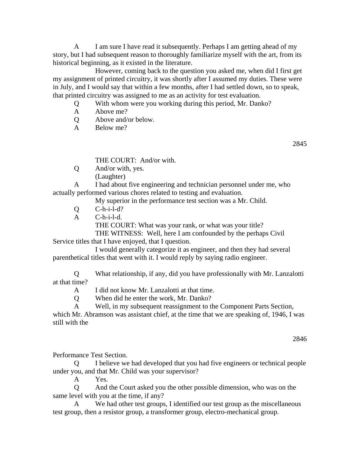A I am sure I have read it subsequently. Perhaps I am getting ahead of my story, but I had subsequent reason to thoroughly familiarize myself with the art, from its historical beginning, as it existed in the literature.

 However, coming back to the question you asked me, when did I first get my assignment of printed circuitry, it was shortly after I assumed my duties. These were in July, and I would say that within a few months, after I had settled down, so to speak, that printed circuitry was assigned to me as an activity for test evaluation.

- Q With whom were you working during this period, Mr. Danko?
- A Above me?
- Q Above and/or below.
- A Below me?

2845

THE COURT: And/or with.

- Q And/or with, yes.
	- (Laughter)

 A I had about five engineering and technician personnel under me, who actually performed various chores related to testing and evaluation.

My superior in the performance test section was a Mr. Child.

- Q C-h-i-l-d?
- A C-h-i-l-d.

 THE COURT: What was your rank, or what was your title? THE WITNESS: Well, here I am confounded by the perhaps Civil

Service titles that I have enjoyed, that I question.

 I would generally categorize it as engineer, and then they had several parenthetical titles that went with it. I would reply by saying radio engineer.

 Q What relationship, if any, did you have professionally with Mr. Lanzalotti at that time?

- A I did not know Mr. Lanzalotti at that time.
- Q When did he enter the work, Mr. Danko?
- A Well, in my subsequent reassignment to the Component Parts Section,

which Mr. Abramson was assistant chief, at the time that we are speaking of, 1946, I was still with the

2846

Performance Test Section.

 Q I believe we had developed that you had five engineers or technical people under you, and that Mr. Child was your supervisor?

A Yes.

 Q And the Court asked you the other possible dimension, who was on the same level with you at the time, if any?

 A We had other test groups, I identified our test group as the miscellaneous test group, then a resistor group, a transformer group, electro-mechanical group.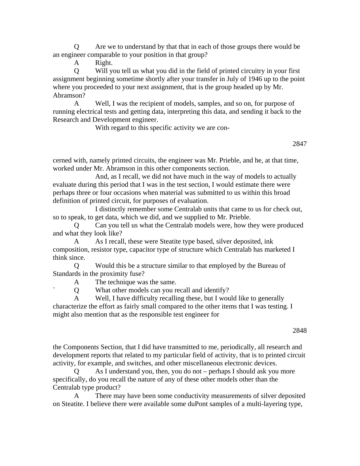Q Are we to understand by that that in each of those groups there would be an engineer comparable to your position in that group?

A Right.

 Q Will you tell us what you did in the field of printed circuitry in your first assignment beginning sometime shortly after your transfer in July of 1946 up to the point where you proceeded to your next assignment, that is the group headed up by Mr. Abramson?

 A Well, I was the recipient of models, samples, and so on, for purpose of running electrical tests and getting data, interpreting this data, and sending it back to the Research and Development engineer.

With regard to this specific activity we are con-

2847

cerned with, namely printed circuits, the engineer was Mr. Prieble, and he, at that time, worked under Mr. Abramson in this other components section.

 And, as I recall, we did not have much in the way of models to actually evaluate during this period that I was in the test section, I would estimate there were perhaps three or four occasions when material was submitted to us within this broad definition of printed circuit, for purposes of evaluation.

 I distinctly remember some Centralab units that came to us for check out, so to speak, to get data, which we did, and we supplied to Mr. Prieble.

 Q Can you tell us what the Centralab models were, how they were produced and what they look like?

A As I recall, these were Steatite type based, silver deposited, ink composition, resistor type, capacitor type of structure which Centralab has marketed I think since.

 Q Would this be a structure similar to that employed by the Bureau of Standards in the proximity fuse?

A The technique was the same.

` Q What other models can you recall and identify?

 A Well, I have difficulty recalling these, but I would like to generally characterize the effort as fairly small compared to the other items that I was testing. I might also mention that as the responsible test engineer for

2848

the Components Section, that I did have transmitted to me, periodically, all research and development reports that related to my particular field of activity, that is to printed circuit activity, for example, and switches, and other miscellaneous electronic devices.

 Q As I understand you, then, you do not – perhaps I should ask you more specifically, do you recall the nature of any of these other models other than the Centralab type product?

 A There may have been some conductivity measurements of silver deposited on Steatite. I believe there were available some duPont samples of a multi-layering type,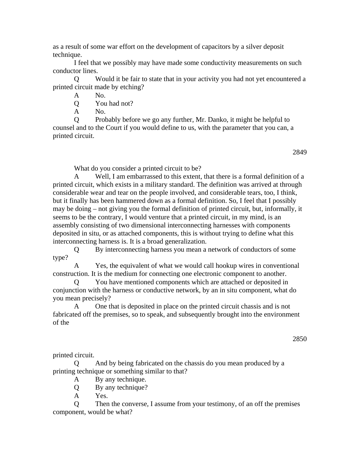as a result of some war effort on the development of capacitors by a silver deposit technique.

 I feel that we possibly may have made some conductivity measurements on such conductor lines.

 Q Would it be fair to state that in your activity you had not yet encountered a printed circuit made by etching?

A No.

Q You had not?

A No.

 Q Probably before we go any further, Mr. Danko, it might be helpful to counsel and to the Court if you would define to us, with the parameter that you can, a printed circuit.

2849

What do you consider a printed circuit to be?

 A Well, I am embarrassed to this extent, that there is a formal definition of a printed circuit, which exists in a military standard. The definition was arrived at through considerable wear and tear on the people involved, and considerable tears, too, I think, but it finally has been hammered down as a formal definition. So, I feel that I possibly may be doing – not giving you the formal definition of printed circuit, but, informally, it seems to be the contrary, I would venture that a printed circuit, in my mind, is an assembly consisting of two dimensional interconnecting harnesses with components deposited in situ, or as attached components, this is without trying to define what this interconnecting harness is. It is a broad generalization.

 Q By interconnecting harness you mean a network of conductors of some type?

 A Yes, the equivalent of what we would call hookup wires in conventional construction. It is the medium for connecting one electronic component to another.

 Q You have mentioned components which are attached or deposited in conjunction with the harness or conductive network, by an in situ component, what do you mean precisely?

One that is deposited in place on the printed circuit chassis and is not fabricated off the premises, so to speak, and subsequently brought into the environment of the

2850

printed circuit.

 Q And by being fabricated on the chassis do you mean produced by a printing technique or something similar to that?

A By any technique.

Q By any technique?

A Yes.

 Q Then the converse, I assume from your testimony, of an off the premises component, would be what?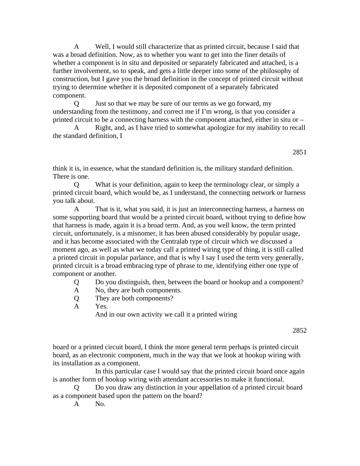A Well, I would still characterize that as printed circuit, because I said that was a broad definition. Now, as to whether you want to get into the finer details of whether a component is in situ and deposited or separately fabricated and attached, is a further involvement, so to speak, and gets a little deeper into some of the philosophy of construction, but I gave you the broad definition in the concept of printed circuit without trying to determine whether it is deposited component of a separately fabricated component.

 Q Just so that we may be sure of our terms as we go forward, my understanding from the testimony, and correct me if I'm wrong, is that you consider a printed circuit to be a connecting harness with the component attached, either in situ or –

 A Right, and, as I have tried to somewhat apologize for my inability to recall the standard definition, I

2851

think it is, in essence, what the standard definition is, the military standard definition. There is one.

What is your definition, again to keep the terminology clear, or simply a printed circuit board, which would be, as I understand, the connecting network or harness you talk about.

 A That is it, what you said, it is just an interconnecting harness, a harness on some supporting board that would be a printed circuit board, without trying to define how that harness is made, again it is a broad term. And, as you well know, the term printed circuit, unfortunately, is a misnomer, it has been abused considerably by popular usage, and it has become associated with the Centralab type of circuit which we discussed a moment ago, as well as what we today call a printed wiring type of thing, it is still called a printed circuit in popular parlance, and that is why I say I used the term very generally, printed circuit is a broad embracing type of phrase to me, identifying either one type of component or another.

Q Do you distinguish, then, between the board or hookup and a component?

- A No, they are both components.
- Q They are both components?
- A Yes.

And in our own activity we call it a printed wiring

2852

board or a printed circuit board, I think the more general term perhaps is printed circuit board, as an electronic component, much in the way that we look at hookup wiring with its installation as a component.

 In this particular case I would say that the printed circuit board once again is another form of hookup wiring with attendant accessories to make it functional.

Do you draw any distinction in your appellation of a printed circuit board as a component based upon the pattern on the board?

A No.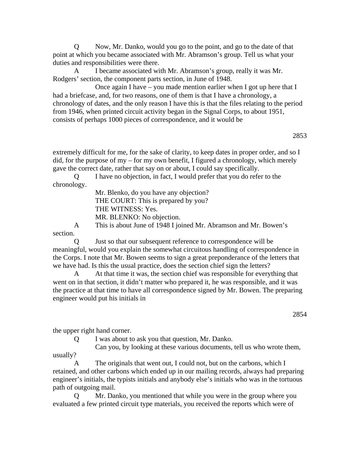Q Now, Mr. Danko, would you go to the point, and go to the date of that point at which you became associated with Mr. Abramson's group. Tell us what your duties and responsibilities were there.

 A I became associated with Mr. Abramson's group, really it was Mr. Rodgers' section, the component parts section, in June of 1948.

 Once again I have – you made mention earlier when I got up here that I had a briefcase, and, for two reasons, one of them is that I have a chronology, a chronology of dates, and the only reason I have this is that the files relating to the period from 1946, when printed circuit activity began in the Signal Corps, to about 1951, consists of perhaps 1000 pieces of correspondence, and it would be

2853

extremely difficult for me, for the sake of clarity, to keep dates in proper order, and so I did, for the purpose of my – for my own benefit, I figured a chronology, which merely gave the correct date, rather that say on or about, I could say specifically.

 Q I have no objection, in fact, I would prefer that you do refer to the chronology.

 Mr. Blenko, do you have any objection? THE COURT: This is prepared by you? THE WITNESS: Yes. MR. BLENKO: No objection. A This is about June of 1948 I joined Mr. Abramson and Mr. Bowen's

section.

 Q Just so that our subsequent reference to correspondence will be meaningful, would you explain the somewhat circuitous handling of correspondence in the Corps. I note that Mr. Bowen seems to sign a great preponderance of the letters that we have had. Is this the usual practice, does the section chief sign the letters?

 A At that time it was, the section chief was responsible for everything that went on in that section, it didn't matter who prepared it, he was responsible, and it was the practice at that time to have all correspondence signed by Mr. Bowen. The preparing engineer would put his initials in

the upper right hand corner.

Q I was about to ask you that question, Mr. Danko.

 Can you, by looking at these various documents, tell us who wrote them, usually?

 A The originals that went out, I could not, but on the carbons, which I retained, and other carbons which ended up in our mailing records, always had preparing engineer's initials, the typists initials and anybody else's initials who was in the tortuous path of outgoing mail.

Mr. Danko, you mentioned that while you were in the group where you evaluated a few printed circuit type materials, you received the reports which were of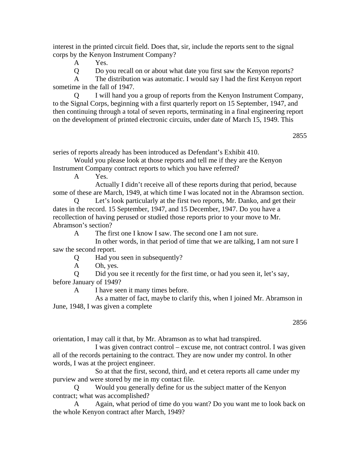interest in the printed circuit field. Does that, sir, include the reports sent to the signal corps by the Kenyon Instrument Company?

A Yes.

Q Do you recall on or about what date you first saw the Kenyon reports?

 A The distribution was automatic. I would say I had the first Kenyon report sometime in the fall of 1947.

 Q I will hand you a group of reports from the Kenyon Instrument Company, to the Signal Corps, beginning with a first quarterly report on 15 September, 1947, and then continuing through a total of seven reports, terminating in a final engineering report on the development of printed electronic circuits, under date of March 15, 1949. This

2855

series of reports already has been introduced as Defendant's Exhibit 410.

 Would you please look at those reports and tell me if they are the Kenyon Instrument Company contract reports to which you have referred?

A Yes.

 Actually I didn't receive all of these reports during that period, because some of these are March, 1949, at which time I was located not in the Abramson section.

 Q Let's look particularly at the first two reports, Mr. Danko, and get their dates in the record. 15 September, 1947, and 15 December, 1947. Do you have a recollection of having perused or studied those reports prior to your move to Mr. Abramson's section?

A The first one I know I saw. The second one I am not sure.

 In other words, in that period of time that we are talking, I am not sure I saw the second report.

Q Had you seen in subsequently?

A Oh, yes.

 Q Did you see it recently for the first time, or had you seen it, let's say, before January of 1949?

A I have seen it many times before.

 As a matter of fact, maybe to clarify this, when I joined Mr. Abramson in June, 1948, I was given a complete

orientation, I may call it that, by Mr. Abramson as to what had transpired.

 I was given contract control – excuse me, not contract control. I was given all of the records pertaining to the contract. They are now under my control. In other words, I was at the project engineer.

 So at that the first, second, third, and et cetera reports all came under my purview and were stored by me in my contact file.

Would you generally define for us the subject matter of the Kenyon contract; what was accomplished?

 A Again, what period of time do you want? Do you want me to look back on the whole Kenyon contract after March, 1949?

<sup>2856</sup>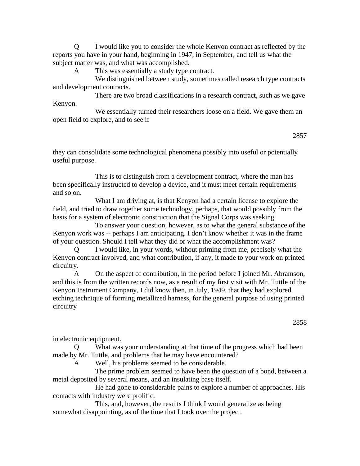Q I would like you to consider the whole Kenyon contract as reflected by the reports you have in your hand, beginning in 1947, in September, and tell us what the subject matter was, and what was accomplished.

A This was essentially a study type contract.

We distinguished between study, sometimes called research type contracts and development contracts.

 There are two broad classifications in a research contract, such as we gave Kenyon.

 We essentially turned their researchers loose on a field. We gave them an open field to explore, and to see if

2857

they can consolidate some technological phenomena possibly into useful or potentially useful purpose.

 This is to distinguish from a development contract, where the man has been specifically instructed to develop a device, and it must meet certain requirements and so on.

 What I am driving at, is that Kenyon had a certain license to explore the field, and tried to draw together some technology, perhaps, that would possibly from the basis for a system of electronic construction that the Signal Corps was seeking.

 To answer your question, however, as to what the general substance of the Kenyon work was -- perhaps I am anticipating. I don't know whether it was in the frame of your question. Should I tell what they did or what the accomplishment was?

 Q I would like, in your words, without priming from me, precisely what the Kenyon contract involved, and what contribution, if any, it made to your work on printed circuitry.

 A On the aspect of contribution, in the period before I joined Mr. Abramson, and this is from the written records now, as a result of my first visit with Mr. Tuttle of the Kenyon Instrument Company, I did know then, in July, 1949, that they had explored etching technique of forming metallized harness, for the general purpose of using printed circuitry

in electronic equipment.

 Q What was your understanding at that time of the progress which had been made by Mr. Tuttle, and problems that he may have encountered?

A Well, his problems seemed to be considerable.

 The prime problem seemed to have been the question of a bond, between a metal deposited by several means, and an insulating base itself.

 He had gone to considerable pains to explore a number of approaches. His contacts with industry were prolific.

 This, and, however, the results I think I would generalize as being somewhat disappointing, as of the time that I took over the project.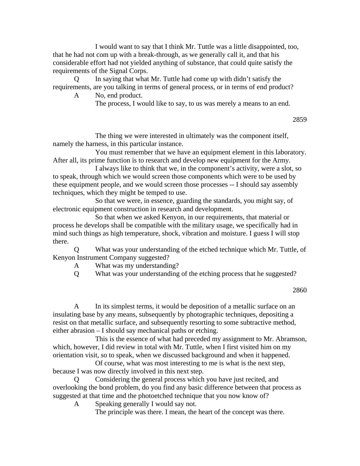I would want to say that I think Mr. Tuttle was a little disappointed, too, that he had not com up with a break-through, as we generally call it, and that his considerable effort had not yielded anything of substance, that could quite satisfy the requirements of the Signal Corps.

 Q In saying that what Mr. Tuttle had come up with didn't satisfy the requirements, are you talking in terms of general process, or in terms of end product? A No, end product.

The process, I would like to say, to us was merely a means to an end.

2859

 The thing we were interested in ultimately was the component itself, namely the harness, in this particular instance.

 You must remember that we have an equipment element in this laboratory. After all, its prime function is to research and develop new equipment for the Army.

 I always like to think that we, in the component's activity, were a slot, so to speak, through which we would screen those components which were to be used by these equipment people, and we would screen those processes -- I should say assembly techniques, which they might be temped to use.

 So that we were, in essence, guarding the standards, you might say, of electronic equipment construction in research and development.

 So that when we asked Kenyon, in our requirements, that material or process he develops shall be compatible with the military usage, we specifically had in mind such things as high temperature, shock, vibration and moisture. I guess I will stop there.

 Q What was your understanding of the etched technique which Mr. Tuttle, of Kenyon Instrument Company suggested?

A What was my understanding?

Q What was your understanding of the etching process that he suggested?

2860

 A In its simplest terms, it would be deposition of a metallic surface on an insulating base by any means, subsequently by photographic techniques, depositing a resist on that metallic surface, and subsequently resorting to some subtractive method, either abrasion – I should say mechanical paths or etching.

 This is the essence of what had preceded my assignment to Mr. Abramson, which, however, I did review in total with Mr. Tuttle, when I first visited him on my orientation visit, so to speak, when we discussed background and when it happened.

 Of course, what was most interesting to me is what is the next step, because I was now directly involved in this next step.

Considering the general process which you have just recited, and overlooking the bond problem, do you find any basic difference between that process as suggested at that time and the photoetched technique that you now know of?

A Speaking generally I would say not.

The principle was there. I mean, the heart of the concept was there.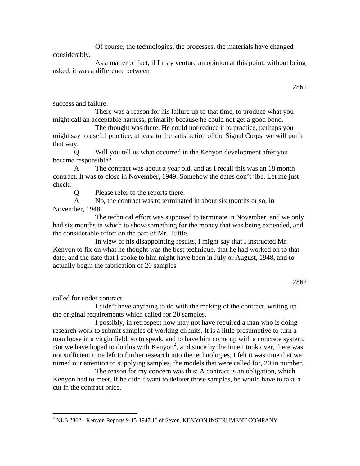Of course, the technologies, the processes, the materials have changed considerably.

 As a matter of fact, if I may venture an opinion at this point, without being asked, it was a difference between

2861

success and failure.

 There was a reason for his failure up to that time, to produce what you might call an acceptable harness, primarily because he could not get a good bond.

 The thought was there. He could not reduce it to practice, perhaps you might say to useful practice, at least to the satisfaction of the Signal Corps, we will put it that way.

 Q Will you tell us what occurred in the Kenyon development after you became responsible?

 A The contract was about a year old, and as I recall this was an 18 month contract. It was to close in November, 1949. Somehow the dates don't jibe. Let me just check.

Q Please refer to the reports there.

 A No, the contract was to terminated in about six months or so, in November, 1948.

 The technical effort was supposed to terminate in November, and we only had six months in which to show something for the money that was being expended, and the considerable effort on the part of Mr. Tuttle.

 In view of his disappointing results, I might say that I instructed Mr. Kenyon to fix on what he thought was the best technique, that he had worked on to that date, and the date that I spoke to him might have been in July or August, 1948, and to actually begin the fabrication of 20 samples

2862

called for under contract.

 $\overline{a}$ 

 I didn't have anything to do with the making of the contract, writing up the original requirements which called for 20 samples.

 I possibly, in retrospect now may not have required a man who is doing research work to submit samples of working circuits. It is a little presumptive to turn a man loose in a virgin field, so to speak, and to have him come up with a concrete system. But we have hoped to do this with  $Kenyon<sup>2</sup>$  $Kenyon<sup>2</sup>$  $Kenyon<sup>2</sup>$ , and since by the time I took over, there was not sufficient time left to further research into the technologies, I felt it was time that we turned our attention to supplying samples, the models that were called for, 20 in number.

 The reason for my concern was this: A contract is an obligation, which Kenyon had to meet. If he didn't want to deliver those samples, he would have to take a cut in the contract price.

<span id="page-13-0"></span> $^2$  NLB 2862 - Kenyon Reports 9-15-1947 1st of Seven. KENYON INSTRUMENT COMPANY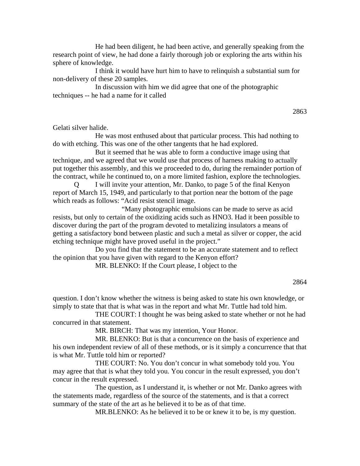He had been diligent, he had been active, and generally speaking from the research point of view, he had done a fairly thorough job or exploring the arts within his sphere of knowledge.

 I think it would have hurt him to have to relinquish a substantial sum for non-delivery of these 20 samples.

 In discussion with him we did agree that one of the photographic techniques -- he had a name for it called

2863

Gelati silver halide.

 He was most enthused about that particular process. This had nothing to do with etching. This was one of the other tangents that he had explored.

 But it seemed that he was able to form a conductive image using that technique, and we agreed that we would use that process of harness making to actually put together this assembly, and this we proceeded to do, during the remainder portion of the contract, while he continued to, on a more limited fashion, explore the technologies.

I will invite your attention, Mr. Danko, to page 5 of the final Kenyon report of March 15, 1949, and particularly to that portion near the bottom of the page which reads as follows: "Acid resist stencil image.

 "Many photographic emulsions can be made to serve as acid resists, but only to certain of the oxidizing acids such as HNO3. Had it been possible to discover during the part of the program devoted to metalizing insulators a means of getting a satisfactory bond between plastic and such a metal as silver or copper, the acid etching technique might have proved useful in the project."

 Do you find that the statement to be an accurate statement and to reflect the opinion that you have given with regard to the Kenyon effort?

MR. BLENKO: If the Court please, I object to the

### 2864

question. I don't know whether the witness is being asked to state his own knowledge, or simply to state that that is what was in the report and what Mr. Tuttle had told him.

 THE COURT: I thought he was being asked to state whether or not he had concurred in that statement.

MR. BIRCH: That was my intention, Your Honor.

 MR. BLENKO: But is that a concurrence on the basis of experience and his own independent review of all of these methods, or is it simply a concurrence that that is what Mr. Tuttle told him or reported?

 THE COURT: No. You don't concur in what somebody told you. You may agree that that is what they told you. You concur in the result expressed, you don't concur in the result expressed.

 The question, as I understand it, is whether or not Mr. Danko agrees with the statements made, regardless of the source of the statements, and is that a correct summary of the state of the art as he believed it to be as of that time.

MR.BLENKO: As he believed it to be or knew it to be, is my question.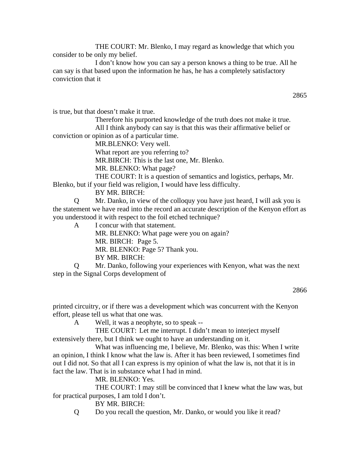THE COURT: Mr. Blenko, I may regard as knowledge that which you consider to be only my belief.

 I don't know how you can say a person knows a thing to be true. All he can say is that based upon the information he has, he has a completely satisfactory conviction that it

is true, but that doesn't make it true.

 Therefore his purported knowledge of the truth does not make it true. All I think anybody can say is that this was their affirmative belief or conviction or opinion as of a particular time.

MR.BLENKO: Very well.

What report are you referring to?

MR.BIRCH: This is the last one, Mr. Blenko.

MR. BLENKO: What page?

THE COURT: It is a question of semantics and logistics, perhaps, Mr.

Blenko, but if your field was religion, I would have less difficulty.

BY MR. BIRCH:

 Q Mr. Danko, in view of the colloquy you have just heard, I will ask you is the statement we have read into the record an accurate description of the Kenyon effort as you understood it with respect to the foil etched technique?

A I concur with that statement.

MR. BLENKO: What page were you on again? MR. BIRCH: Page 5.

MR. BLENKO: Page 5? Thank you.

BY MR. BIRCH:

 Q Mr. Danko, following your experiences with Kenyon, what was the next step in the Signal Corps development of

2866

printed circuitry, or if there was a development which was concurrent with the Kenyon effort, please tell us what that one was.

A Well, it was a neophyte, so to speak --

 THE COURT: Let me interrupt. I didn't mean to interject myself extensively there, but I think we ought to have an understanding on it.

 What was influencing me, I believe, Mr. Blenko, was this: When I write an opinion, I think I know what the law is. After it has been reviewed, I sometimes find out I did not. So that all I can express is my opinion of what the law is, not that it is in fact the law. That is in substance what I had in mind.

MR. BLENKO: Yes.

 THE COURT: I may still be convinced that I knew what the law was, but for practical purposes, I am told I don't.

BY MR. BIRCH:

Q Do you recall the question, Mr. Danko, or would you like it read?

2865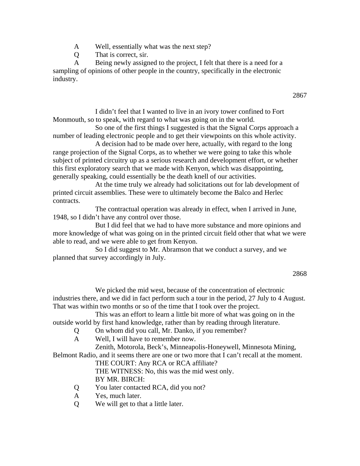- A Well, essentially what was the next step?
- Q That is correct, sir.

 A Being newly assigned to the project, I felt that there is a need for a sampling of opinions of other people in the country, specifically in the electronic industry.

 I didn't feel that I wanted to live in an ivory tower confined to Fort Monmouth, so to speak, with regard to what was going on in the world.

 So one of the first things I suggested is that the Signal Corps approach a number of leading electronic people and to get their viewpoints on this whole activity.

 A decision had to be made over here, actually, with regard to the long range projection of the Signal Corps, as to whether we were going to take this whole subject of printed circuitry up as a serious research and development effort, or whether this first exploratory search that we made with Kenyon, which was disappointing, generally speaking, could essentially be the death knell of our activities.

 At the time truly we already had solicitations out for lab development of printed circuit assemblies. These were to ultimately become the Balco and Herlec contracts.

 The contractual operation was already in effect, when I arrived in June, 1948, so I didn't have any control over those.

 But I did feel that we had to have more substance and more opinions and more knowledge of what was going on in the printed circuit field other that what we were able to read, and we were able to get from Kenyon.

 So I did suggest to Mr. Abramson that we conduct a survey, and we planned that survey accordingly in July.

 We picked the mid west, because of the concentration of electronic industries there, and we did in fact perform such a tour in the period, 27 July to 4 August. That was within two months or so of the time that I took over the project.

 This was an effort to learn a little bit more of what was going on in the outside world by first hand knowledge, rather than by reading through literature.

- Q On whom did you call, Mr. Danko, if you remember?
- A Well, I will have to remember now.

Zenith, Motorola, Beck's, Minneapolis-Honeywell, Minnesota Mining,

Belmont Radio, and it seems there are one or two more that I can't recall at the moment.

THE COURT: Any RCA or RCA affiliate?

THE WITNESS: No, this was the mid west only.

BY MR. BIRCH:

- Q You later contacted RCA, did you not?
- A Yes, much later.
- Q We will get to that a little later.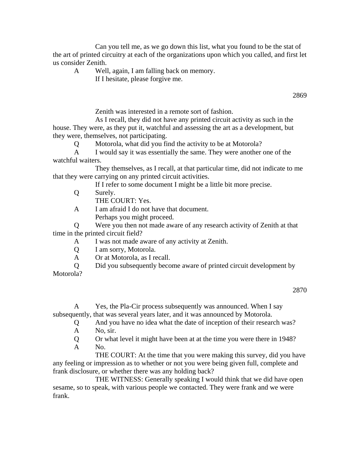Can you tell me, as we go down this list, what you found to be the stat of the art of printed circuitry at each of the organizations upon which you called, and first let us consider Zenith.

- A Well, again, I am falling back on memory.
	- If I hesitate, please forgive me.

2869

Zenith was interested in a remote sort of fashion.

 As I recall, they did not have any printed circuit activity as such in the house. They were, as they put it, watchful and assessing the art as a development, but they were, themselves, not participating.

Q Motorola, what did you find the activity to be at Motorola?

 A I would say it was essentially the same. They were another one of the watchful waiters.

 They themselves, as I recall, at that particular time, did not indicate to me that they were carrying on any printed circuit activities.

If I refer to some document I might be a little bit more precise.

Q Surely.

THE COURT: Yes.

 A I am afraid I do not have that document. Perhaps you might proceed.

 Q Were you then not made aware of any research activity of Zenith at that time in the printed circuit field?

A I was not made aware of any activity at Zenith.

- Q I am sorry, Motorola.
- A Or at Motorola, as I recall.
- Q Did you subsequently become aware of printed circuit development by

Motorola?

2870

 A Yes, the Pla-Cir process subsequently was announced. When I say subsequently, that was several years later, and it was announced by Motorola.

Q And you have no idea what the date of inception of their research was?

- A No, sir.
- Q Or what level it might have been at at the time you were there in 1948? A No.

 THE COURT: At the time that you were making this survey, did you have any feeling or impression as to whether or not you were being given full, complete and frank disclosure, or whether there was any holding back?

 THE WITNESS: Generally speaking I would think that we did have open sesame, so to speak, with various people we contacted. They were frank and we were frank.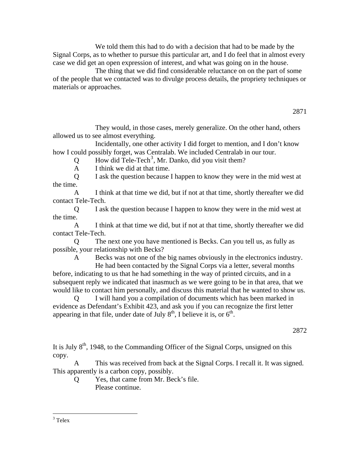We told them this had to do with a decision that had to be made by the Signal Corps, as to whether to pursue this particular art, and I do feel that in almost every case we did get an open expression of interest, and what was going on in the house.

 The thing that we did find considerable reluctance on on the part of some of the people that we contacted was to divulge process details, the propriety techniques or materials or approaches.

 They would, in those cases, merely generalize. On the other hand, others allowed us to see almost everything.

 Incidentally, one other activity I did forget to mention, and I don't know how I could possibly forget, was Centralab. We included Centralab in our tour.

 $Q$  How did Tele-Tech<sup>[3](#page-18-0)</sup>, Mr. Danko, did you visit them?

A I think we did at that time.

 Q I ask the question because I happen to know they were in the mid west at the time.

 A I think at that time we did, but if not at that time, shortly thereafter we did contact Tele-Tech.

 Q I ask the question because I happen to know they were in the mid west at the time.

 A I think at that time we did, but if not at that time, shortly thereafter we did contact Tele-Tech.

 Q The next one you have mentioned is Becks. Can you tell us, as fully as possible, your relationship with Becks?

 A Becks was not one of the big names obviously in the electronics industry. He had been contacted by the Signal Corps via a letter, several months

before, indicating to us that he had something in the way of printed circuits, and in a subsequent reply we indicated that inasmuch as we were going to be in that area, that we would like to contact him personally, and discuss this material that he wanted to show us.

 Q I will hand you a compilation of documents which has been marked in evidence as Defendant's Exhibit 423, and ask you if you can recognize the first letter appearing in that file, under date of July  $8<sup>th</sup>$ , I believe it is, or  $6<sup>th</sup>$ .

2872

It is July  $8<sup>th</sup>$ , 1948, to the Commanding Officer of the Signal Corps, unsigned on this copy.

 A This was received from back at the Signal Corps. I recall it. It was signed. This apparently is a carbon copy, possibly.

 Q Yes, that came from Mr. Beck's file. Please continue.

 $\overline{a}$ 

<span id="page-18-0"></span><sup>3</sup> Telex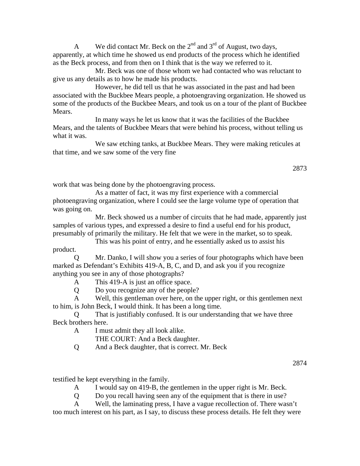A We did contact Mr. Beck on the  $2<sup>nd</sup>$  and  $3<sup>rd</sup>$  of August, two days, apparently, at which time he showed us end products of the process which he identified as the Beck process, and from then on I think that is the way we referred to it.

 Mr. Beck was one of those whom we had contacted who was reluctant to give us any details as to how he made his products.

 However, he did tell us that he was associated in the past and had been associated with the Buckbee Mears people, a photoengraving organization. He showed us some of the products of the Buckbee Mears, and took us on a tour of the plant of Buckbee Mears.

 In many ways he let us know that it was the facilities of the Buckbee Mears, and the talents of Buckbee Mears that were behind his process, without telling us what it was.

 We saw etching tanks, at Buckbee Mears. They were making reticules at that time, and we saw some of the very fine

2873

work that was being done by the photoengraving process.

 As a matter of fact, it was my first experience with a commercial photoengraving organization, where I could see the large volume type of operation that was going on.

 Mr. Beck showed us a number of circuits that he had made, apparently just samples of various types, and expressed a desire to find a useful end for his product, presumably of primarily the military. He felt that we were in the market, so to speak.

 This was his point of entry, and he essentially asked us to assist his product.

Mr. Danko, I will show you a series of four photographs which have been marked as Defendant's Exhibits 419-A, B, C, and D, and ask you if you recognize anything you see in any of those photographs?

A This 419-A is just an office space.

Q Do you recognize any of the people?

 A Well, this gentleman over here, on the upper right, or this gentlemen next to him, is John Beck, I would think. It has been a long time.

 Q That is justifiably confused. It is our understanding that we have three Beck brothers here.

A I must admit they all look alike.

THE COURT: And a Beck daughter.

Q And a Beck daughter, that is correct. Mr. Beck

2874

testified he kept everything in the family.

A I would say on 419-B, the gentlemen in the upper right is Mr. Beck.

Q Do you recall having seen any of the equipment that is there in use?

A Well, the laminating press, I have a vague recollection of. There wasn't

too much interest on his part, as I say, to discuss these process details. He felt they were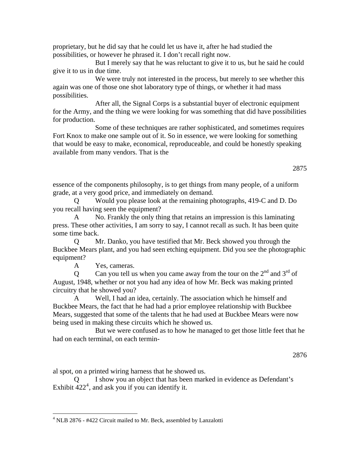proprietary, but he did say that he could let us have it, after he had studied the possibilities, or however he phrased it. I don't recall right now.

 But I merely say that he was reluctant to give it to us, but he said he could give it to us in due time.

We were truly not interested in the process, but merely to see whether this again was one of those one shot laboratory type of things, or whether it had mass possibilities.

 After all, the Signal Corps is a substantial buyer of electronic equipment for the Army, and the thing we were looking for was something that did have possibilities for production.

 Some of these techniques are rather sophisticated, and sometimes requires Fort Knox to make one sample out of it. So in essence, we were looking for something that would be easy to make, economical, reproduceable, and could be honestly speaking available from many vendors. That is the

essence of the components philosophy, is to get things from many people, of a uniform grade, at a very good price, and immediately on demand.

 Q Would you please look at the remaining photographs, 419-C and D. Do you recall having seen the equipment?

 A No. Frankly the only thing that retains an impression is this laminating press. These other activities, I am sorry to say, I cannot recall as such. It has been quite some time back.

 Q Mr. Danko, you have testified that Mr. Beck showed you through the Buckbee Mears plant, and you had seen etching equipment. Did you see the photographic equipment?

A Yes, cameras.

 $\overline{a}$ 

Q Can you tell us when you came away from the tour on the  $2<sup>nd</sup>$  and  $3<sup>rd</sup>$  of August, 1948, whether or not you had any idea of how Mr. Beck was making printed circuitry that he showed you?

 A Well, I had an idea, certainly. The association which he himself and Buckbee Mears, the fact that he had had a prior employee relationship with Buckbee Mears, suggested that some of the talents that he had used at Buckbee Mears were now being used in making these circuits which he showed us.

 But we were confused as to how he managed to get those little feet that he had on each terminal, on each termin-

#### 2876

al spot, on a printed wiring harness that he showed us.

I show you an object that has been marked in evidence as Defendant's Exhibit  $422^4$  $422^4$ , and ask you if you can identify it.

<span id="page-20-0"></span><sup>&</sup>lt;sup>4</sup> NLB 2876 - #422 Circuit mailed to Mr. Beck, assembled by Lanzalotti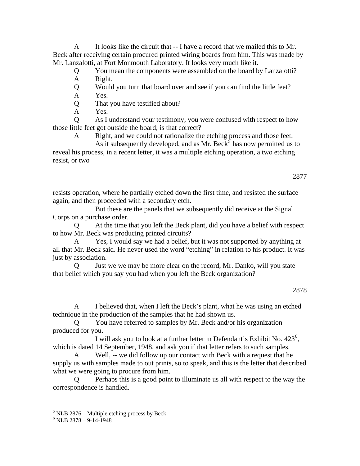A It looks like the circuit that -- I have a record that we mailed this to Mr. Beck after receiving certain procured printed wiring boards from him. This was made by Mr. Lanzalotti, at Fort Monmouth Laboratory. It looks very much like it.

Q You mean the components were assembled on the board by Lanzalotti?

A Right.

 Q Would you turn that board over and see if you can find the little feet? A Yes.

Q That you have testified about?

A Yes.

 Q As I understand your testimony, you were confused with respect to how those little feet got outside the board; is that correct?

A Right, and we could not rationalize the etching process and those feet.

As it subsequently developed, and as Mr. Beck<sup>[5](#page-21-0)</sup> has now permitted us to reveal his process, in a recent letter, it was a multiple etching operation, a two etching resist, or two

2877

resists operation, where he partially etched down the first time, and resisted the surface again, and then proceeded with a secondary etch.

 But these are the panels that we subsequently did receive at the Signal Corps on a purchase order.

 Q At the time that you left the Beck plant, did you have a belief with respect to how Mr. Beck was producing printed circuits?

Yes, I would say we had a belief, but it was not supported by anything at all that Mr. Beck said. He never used the word "etching" in relation to his product. It was just by association.

 Q Just we we may be more clear on the record, Mr. Danko, will you state that belief which you say you had when you left the Beck organization?

I believed that, when I left the Beck's plant, what he was using an etched technique in the production of the samples that he had shown us.

 Q You have referred to samples by Mr. Beck and/or his organization produced for you.

I will ask you to look at a further letter in Defendant's Exhibit No. 423<sup>[6](#page-21-1)</sup>, which is dated 14 September, 1948, and ask you if that letter refers to such samples.

 A Well, -- we did follow up our contact with Beck with a request that he supply us with samples made to out prints, so to speak, and this is the letter that described what we were going to procure from him.

 Q Perhaps this is a good point to illuminate us all with respect to the way the correspondence is handled.

<span id="page-21-0"></span> 5 NLB 2876 – Multiple etching process by Beck

<span id="page-21-1"></span> $6$  NLB 2878 - 9-14-1948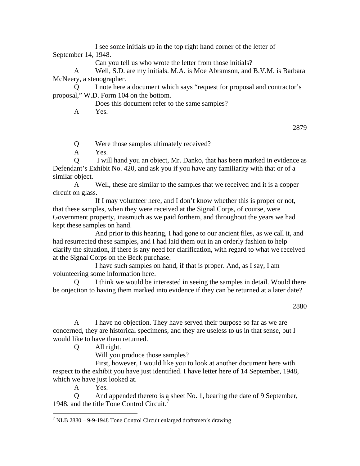I see some initials up in the top right hand corner of the letter of September 14, 1948.

Can you tell us who wrote the letter from those initials?

 A Well, S.D. are my initials. M.A. is Moe Abramson, and B.V.M. is Barbara McNeery, a stenographer.

 Q I note here a document which says "request for proposal and contractor's proposal," W.D. Form 104 on the bottom.

Does this document refer to the same samples?

A Yes.

2879

Q Were those samples ultimately received?

A Yes.

 Q I will hand you an object, Mr. Danko, that has been marked in evidence as Defendant's Exhibit No. 420, and ask you if you have any familiarity with that or of a similar object.

 A Well, these are similar to the samples that we received and it is a copper circuit on glass.

 If I may volunteer here, and I don't know whether this is proper or not, that these samples, when they were received at the Signal Corps, of course, were Government property, inasmuch as we paid forthem, and throughout the years we had kept these samples on hand.

 And prior to this hearing, I had gone to our ancient files, as we call it, and had resurrected these samples, and I had laid them out in an orderly fashion to help clarify the situation, if there is any need for clarification, with regard to what we received at the Signal Corps on the Beck purchase.

 I have such samples on hand, if that is proper. And, as I say, I am volunteering some information here.

I think we would be interested in seeing the samples in detail. Would there be onjection to having them marked into evidence if they can be returned at a later date?

2880

 A I have no objection. They have served their purpose so far as we are concerned, they are historical specimens, and they are useless to us in that sense, but I would like to have them returned.

Q All right.

Will you produce those samples?

 First, however, I would like you to look at another document here with respect to the exhibit you have just identified. I have letter here of 14 September, 1948, which we have just looked at.

A Yes.

 Q And appended thereto is a sheet No. 1, bearing the date of 9 September, 1948, and the title Tone Control Circuit.[7](#page-22-0)

<span id="page-22-0"></span> 7 NLB 2880 – 9-9-1948 Tone Control Circuit enlarged draftsmen's drawing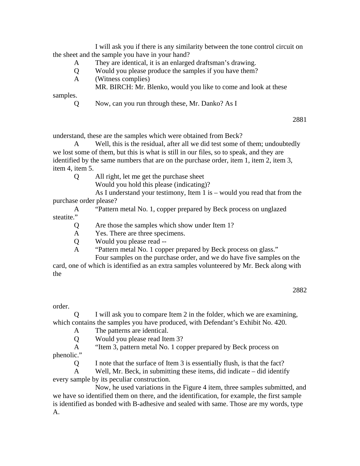I will ask you if there is any similarity between the tone control circuit on the sheet and the sample you have in your hand?

- A They are identical, it is an enlarged draftsman's drawing.
- Q Would you please produce the samples if you have them?
- A (Witness complies)
	- MR. BIRCH: Mr. Blenko, would you like to come and look at these

samples.

Q Now, can you run through these, Mr. Danko? As I

2881

understand, these are the samples which were obtained from Beck?

 A Well, this is the residual, after all we did test some of them; undoubtedly we lost some of them, but this is what is still in our files, so to speak, and they are identified by the same numbers that are on the purchase order, item 1, item 2, item 3, item 4, item 5.

Q All right, let me get the purchase sheet

Would you hold this please (indicating)?

 As I understand your testimony, Item 1 is – would you read that from the purchase order please?

 A "Pattern metal No. 1, copper prepared by Beck process on unglazed steatite."

Q Are those the samples which show under Item 1?

A Yes. There are three specimens.

Q Would you please read --

A "Pattern metal No. 1 copper prepared by Beck process on glass."

 Four samples on the purchase order, and we do have five samples on the card, one of which is identified as an extra samples volunteered by Mr. Beck along with the

2882

order.

 Q I will ask you to compare Item 2 in the folder, which we are examining, which contains the samples you have produced, with Defendant's Exhibit No. 420.

A The patterns are identical.

Q Would you please read Item 3?

A "Item 3, pattern metal No. 1 copper prepared by Beck process on

phenolic."

Q I note that the surface of Item 3 is essentially flush, is that the fact?

 A Well, Mr. Beck, in submitting these items, did indicate – did identify every sample by its peculiar construction.

 Now, he used variations in the Figure 4 item, three samples submitted, and we have so identified them on there, and the identification, for example, the first sample is identified as bonded with B-adhesive and sealed with same. Those are my words, type A.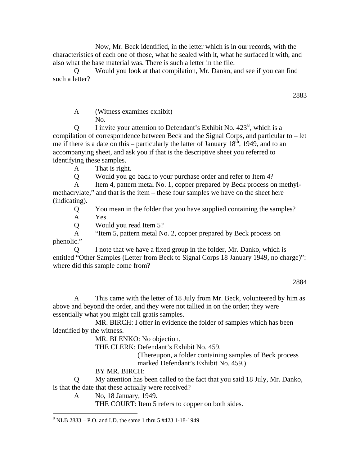Now, Mr. Beck identified, in the letter which is in our records, with the characteristics of each one of those, what he sealed with it, what he surfaced it with, and also what the base material was. There is such a letter in the file.

Would you look at that compilation, Mr. Danko, and see if you can find such a letter?

2883

 A (Witness examines exhibit) No.

 $Q$  I invite your attention to Defendant's Exhibit No. 423<sup>[8](#page-24-0)</sup>, which is a compilation of correspondence between Beck and the Signal Corps, and particular to – let me if there is a date on this – particularly the latter of January  $18<sup>th</sup>$ , 1949, and to an accompanying sheet, and ask you if that is the descriptive sheet you referred to identifying these samples.

A That is right.

Q Would you go back to your purchase order and refer to Item 4?

A Item 4, pattern metal No. 1, copper prepared by Beck process on methylmethacrylate," and that is the item – these four samples we have on the sheet here (indicating).

Q You mean in the folder that you have supplied containing the samples?

A Yes.

Q Would you read Item 5?

 A "Item 5, pattern metal No. 2, copper prepared by Beck process on phenolic."

 Q I note that we have a fixed group in the folder, Mr. Danko, which is entitled "Other Samples (Letter from Beck to Signal Corps 18 January 1949, no charge)": where did this sample come from?

2884

 A This came with the letter of 18 July from Mr. Beck, volunteered by him as above and beyond the order, and they were not tallied in on the order; they were essentially what you might call gratis samples.

 MR. BIRCH: I offer in evidence the folder of samples which has been identified by the witness.

MR. BLENKO: No objection.

THE CLERK: Defendant's Exhibit No. 459.

(Thereupon, a folder containing samples of Beck process marked Defendant's Exhibit No. 459.)

# BY MR. BIRCH:

 Q My attention has been called to the fact that you said 18 July, Mr. Danko, is that the date that these actually were received?

A No, 18 January, 1949.

THE COURT: Item 5 refers to copper on both sides.

<span id="page-24-0"></span> $\overline{a}$ 8 NLB 2883 – P.O. and I.D. the same 1 thru 5 #423 1-18-1949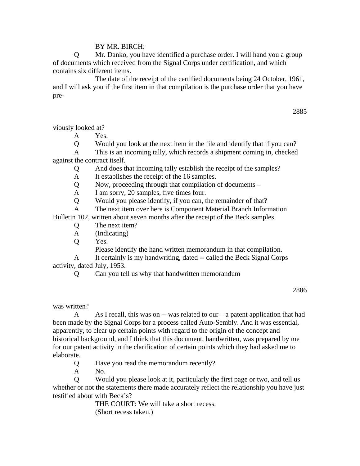### BY MR. BIRCH:

 Q Mr. Danko, you have identified a purchase order. I will hand you a group of documents which received from the Signal Corps under certification, and which contains six different items.

 The date of the receipt of the certified documents being 24 October, 1961, and I will ask you if the first item in that compilation is the purchase order that you have pre-

2885

viously looked at?

A Yes.

Q Would you look at the next item in the file and identify that if you can?

 A This is an incoming tally, which records a shipment coming in, checked against the contract itself.

Q And does that incoming tally establish the receipt of the samples?

A It establishes the receipt of the 16 samples.

Q Now, proceeding through that compilation of documents –

A I am sorry, 20 samples, five times four.

Q Would you please identify, if you can, the remainder of that?

A The next item over here is Component Material Branch Information

Bulletin 102, written about seven months after the receipt of the Beck samples.

- Q The next item?
- A (Indicating)

Q Yes.

Please identify the hand written memorandum in that compilation.

 A It certainly is my handwriting, dated -- called the Beck Signal Corps activity, dated July, 1953.

Q Can you tell us why that handwritten memorandum

2886

was written?

A As I recall, this was on  $-$  was related to our  $-$  a patent application that had been made by the Signal Corps for a process called Auto-Sembly. And it was essential, apparently, to clear up certain points with regard to the origin of the concept and historical background, and I think that this document, handwritten, was prepared by me for our patent activity in the clarification of certain points which they had asked me to elaborate.

Q Have you read the memorandum recently?

A No.

 Q Would you please look at it, particularly the first page or two, and tell us whether or not the statements there made accurately reflect the relationship you have just testified about with Beck's?

> THE COURT: We will take a short recess. (Short recess taken.)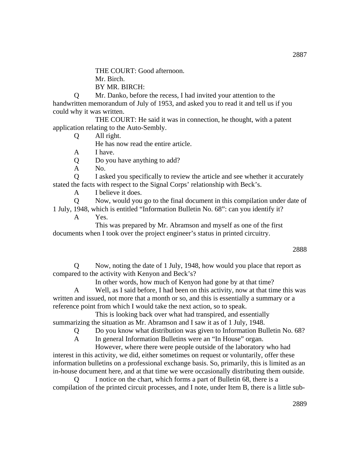THE COURT: Good afternoon.

Mr. Birch.

BY MR. BIRCH:

 Q Mr. Danko, before the recess, I had invited your attention to the handwritten memorandum of July of 1953, and asked you to read it and tell us if you could why it was written.

 THE COURT: He said it was in connection, he thought, with a patent application relating to the Auto-Sembly.

Q All right.

He has now read the entire article.

A I have.

Q Do you have anything to add?

A No.

 Q I asked you specifically to review the article and see whether it accurately stated the facts with respect to the Signal Corps' relationship with Beck's.

A I believe it does.

Q Now, would you go to the final document in this compilation under date of

1 July, 1948, which is entitled "Information Bulletin No. 68": can you identify it? A Yes.

 This was prepared by Mr. Abramson and myself as one of the first documents when I took over the project engineer's status in printed circuitry.

### 2888

 Q Now, noting the date of 1 July, 1948, how would you place that report as compared to the activity with Kenyon and Beck's?

In other words, how much of Kenyon had gone by at that time?

 A Well, as I said before, I had been on this activity, now at that time this was written and issued, not more that a month or so, and this is essentially a summary or a reference point from which I would take the next action, so to speak.

 This is looking back over what had transpired, and essentially summarizing the situation as Mr. Abramson and I saw it as of 1 July, 1948.

Q Do you know what distribution was given to Information Bulletin No. 68?

A In general Information Bulletins were an "In House" organ.

 However, where there were people outside of the laboratory who had interest in this activity, we did, either sometimes on request or voluntarily, offer these information bulletins on a professional exchange basis. So, primarily, this is limited as an in-house document here, and at that time we were occasionally distributing them outside.

 Q I notice on the chart, which forms a part of Bulletin 68, there is a compilation of the printed circuit processes, and I note, under Item B, there is a little sub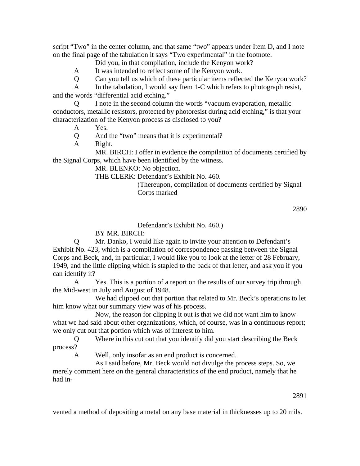script "Two" in the center column, and that same "two" appears under Item D, and I note on the final page of the tabulation it says "Two experimental" in the footnote.

Did you, in that compilation, include the Kenyon work?

A It was intended to reflect some of the Kenyon work.

Q Can you tell us which of these particular items reflected the Kenyon work?

A In the tabulation, I would say Item 1-C which refers to photograph resist, and the words "differential acid etching."

 Q I note in the second column the words "vacuum evaporation, metallic conductors, metallic resistors, protected by photoresist during acid etching," is that your characterization of the Kenyon process as disclosed to you?

A Yes.

- Q And the "two" means that it is experimental?
- A Right.

 MR. BIRCH: I offer in evidence the compilation of documents certified by the Signal Corps, which have been identified by the witness.

MR. BLENKO: No objection.

THE CLERK: Defendant's Exhibit No. 460.

 (Thereupon, compilation of documents certified by Signal Corps marked

2890

### Defendant's Exhibit No. 460.)

# BY MR. BIRCH:

 Q Mr. Danko, I would like again to invite your attention to Defendant's Exhibit No. 423, which is a compilation of correspondence passing between the Signal Corps and Beck, and, in particular, I would like you to look at the letter of 28 February, 1949, and the little clipping which is stapled to the back of that letter, and ask you if you can identify it?

 A Yes. This is a portion of a report on the results of our survey trip through the Mid-west in July and August of 1948.

 We had clipped out that portion that related to Mr. Beck's operations to let him know what our summary view was of his process.

 Now, the reason for clipping it out is that we did not want him to know what we had said about other organizations, which, of course, was in a continuous report; we only cut out that portion which was of interest to him.

 Q Where in this cut out that you identify did you start describing the Beck process?

A Well, only insofar as an end product is concerned.

 As I said before, Mr. Beck would not divulge the process steps. So, we merely comment here on the general characteristics of the end product, namely that he had in-

2891

vented a method of depositing a metal on any base material in thicknesses up to 20 mils.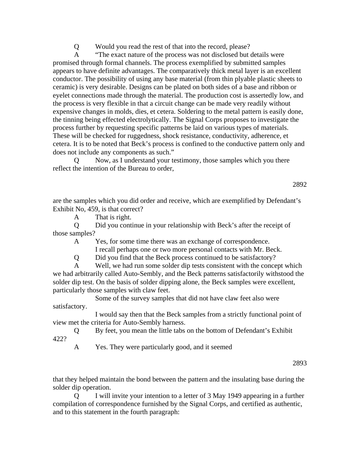Q Would you read the rest of that into the record, please?

 A "The exact nature of the process was not disclosed but details were promised through formal channels. The process exemplified by submitted samples appears to have definite advantages. The comparatively thick metal layer is an excellent conductor. The possibility of using any base material (from thin plyable plastic sheets to ceramic) is very desirable. Designs can be plated on both sides of a base and ribbon or eyelet connections made through the material. The production cost is assertedly low, and the process is very flexible in that a circuit change can be made very readily without expensive changes in molds, dies, et cetera. Soldering to the metal pattern is easily done, the tinning being effected electrolytically. The Signal Corps proposes to investigate the process further by requesting specific patterns be laid on various types of materials. These will be checked for ruggedness, shock resistance, conductivity, adherence, et cetera. It is to be noted that Beck's process is confined to the conductive pattern only and does not include any components as such."

 Q Now, as I understand your testimony, those samples which you there reflect the intention of the Bureau to order,

are the samples which you did order and receive, which are exemplified by Defendant's Exhibit No, 459, is that correct?

A That is right.

 Q Did you continue in your relationship with Beck's after the receipt of those samples?

A Yes, for some time there was an exchange of correspondence.

I recall perhaps one or two more personal contacts with Mr. Beck.

Q Did you find that the Beck process continued to be satisfactory?

 A Well, we had run some solder dip tests consistent with the concept which we had arbitrarily called Auto-Sembly, and the Beck patterns satisfactorily withstood the solder dip test. On the basis of solder dipping alone, the Beck samples were excellent, particularly those samples with claw feet.

 Some of the survey samples that did not have claw feet also were satisfactory.

 I would say then that the Beck samples from a strictly functional point of view met the criteria for Auto-Sembly harness.

 Q By feet, you mean the little tabs on the bottom of Defendant's Exhibit 422?

A Yes. They were particularly good, and it seemed

2893

that they helped maintain the bond between the pattern and the insulating base during the solder dip operation.

I will invite your intention to a letter of 3 May 1949 appearing in a further compilation of correspondence furnished by the Signal Corps, and certified as authentic, and to this statement in the fourth paragraph: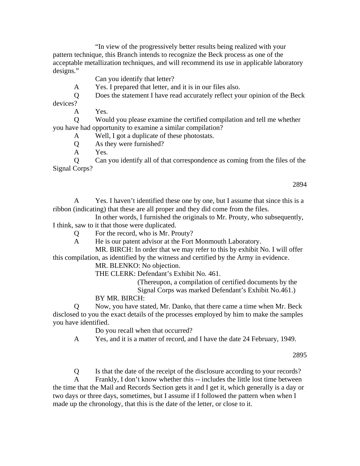"In view of the progressively better results being realized with your pattern technique, this Branch intends to recognize the Beck process as one of the acceptable metallization techniques, and will recommend its use in applicable laboratory designs."

Can you identify that letter?

A Yes. I prepared that letter, and it is in our files also.

Q Does the statement I have read accurately reflect your opinion of the Beck

devices?

A Yes.

 Q Would you please examine the certified compilation and tell me whether you have had opportunity to examine a similar compilation?

A Well, I got a duplicate of these photostats.

Q As they were furnished?

A Yes.

 Q Can you identify all of that correspondence as coming from the files of the Signal Corps?

2894

 A Yes. I haven't identified these one by one, but I assume that since this is a ribbon (indicating) that these are all proper and they did come from the files.

 In other words, I furnished the originals to Mr. Prouty, who subsequently, I think, saw to it that those were duplicated.

Q For the record, who is Mr. Prouty?

A He is our patent advisor at the Fort Monmouth Laboratory.

 MR. BIRCH: In order that we may refer to this by exhibit No. I will offer this compilation, as identified by the witness and certified by the Army in evidence.

MR. BLENKO: No objection.

THE CLERK: Defendant's Exhibit No. 461.

(Thereupon, a compilation of certified documents by the

Signal Corps was marked Defendant's Exhibit No.461.)

BY MR. BIRCH:

 Q Now, you have stated, Mr. Danko, that there came a time when Mr. Beck disclosed to you the exact details of the processes employed by him to make the samples you have identified.

Do you recall when that occurred?

A Yes, and it is a matter of record, and I have the date 24 February, 1949.

2895

Q Is that the date of the receipt of the disclosure according to your records?

 A Frankly, I don't know whether this -- includes the little lost time between the time that the Mail and Records Section gets it and I get it, which generally is a day or two days or three days, sometimes, but I assume if I followed the pattern when when I made up the chronology, that this is the date of the letter, or close to it.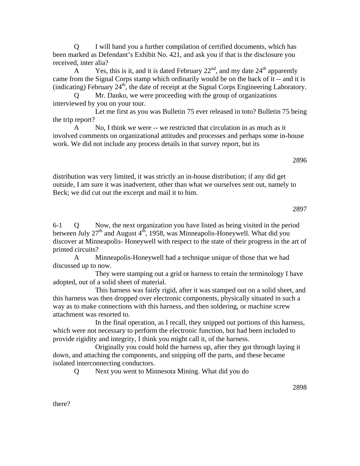Q I will hand you a further compilation of certified documents, which has been marked as Defendant's Exhibit No. 421, and ask you if that is the disclosure you received, inter alia?

A Yes, this is it, and it is dated February  $22<sup>nd</sup>$ , and my date  $24<sup>th</sup>$  apparently came from the Signal Corps stamp which ordinarily would be on the back of it -- and it is (indicating) February 24<sup>th</sup>, the date of receipt at the Signal Corps Engineering Laboratory.

Mr. Danko, we were proceeding with the group of organizations interviewed by you on your tour.

 Let me first as you was Bulletin 75 ever released in toto? Bulletin 75 being the trip report?

 A No, I think we were -- we restricted that circulation in as much as it involved comments on organizational attitudes and processes and perhaps some in-house work. We did not include any process details in that survey report, but its

distribution was very limited, it was strictly an in-house distribution; if any did get outside, I am sure it was inadvertent, other than what we ourselves sent out, namely to Beck; we did cut out the excerpt and mail it to him.

6-1 Q Now, the next organization you have listed as being visited in the period between July  $27<sup>th</sup>$  and August  $4<sup>th</sup>$ , 1958, was Minneapolis-Honeywell. What did you discover at Minneapolis- Honeywell with respect to the state of their progress in the art of printed circuits?

 A Minneapolis-Honeywell had a technique unique of those that we had discussed up to now.

 They were stamping out a grid or harness to retain the terminology I have adopted, out of a solid sheet of material.

 This harness was fairly rigid, after it was stamped out on a solid sheet, and this harness was then dropped over electronic components, physically situated in such a way as to make connections with this harness, and then soldering, or machine screw attachment was resorted to.

 In the final operation, as I recall, they snipped out portions of this harness, which were not necessary to perform the electronic function, but had been included to provide rigidity and integrity, I think you might call it, of the harness.

 Originally you could hold the harness up, after they got through laying it down, and attaching the components, and snipping off the parts, and these became isolated interconnecting conductors.

Q Next you went to Minnesota Mining. What did you do

there?

2897

2896

2898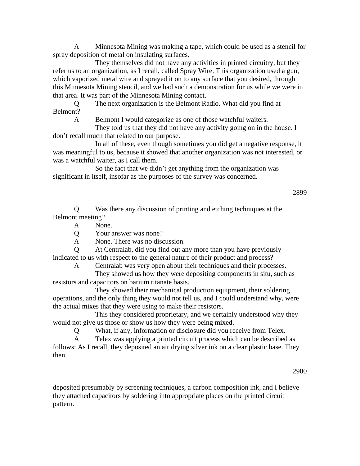A Minnesota Mining was making a tape, which could be used as a stencil for spray deposition of metal on insulating surfaces.

 They themselves did not have any activities in printed circuitry, but they refer us to an organization, as I recall, called Spray Wire. This organization used a gun, which vaporized metal wire and sprayed it on to any surface that you desired, through this Minnesota Mining stencil, and we had such a demonstration for us while we were in that area. It was part of the Minnesota Mining contact.

The next organization is the Belmont Radio. What did you find at Belmont?

A Belmont I would categorize as one of those watchful waiters.

 They told us that they did not have any activity going on in the house. I don't recall much that related to our purpose.

 In all of these, even though sometimes you did get a negative response, it was meaningful to us, because it showed that another organization was not interested, or was a watchful waiter, as I call them.

 So the fact that we didn't get anything from the organization was significant in itself, insofar as the purposes of the survey was concerned.

2899

 Q Was there any discussion of printing and etching techniques at the Belmont meeting?

A None.

Q Your answer was none?

A None. There was no discussion.

 Q At Centralab, did you find out any more than you have previously indicated to us with respect to the general nature of their product and process?

A Centralab was very open about their techniques and their processes.

 They showed us how they were depositing components in situ, such as resistors and capacitors on barium titanate basis.

 They showed their mechanical production equipment, their soldering operations, and the only thing they would not tell us, and I could understand why, were the actual mixes that they were using to make their resistors.

 This they considered proprietary, and we certainly understood why they would not give us those or show us how they were being mixed.

Q What, if any, information or disclosure did you receive from Telex.

 A Telex was applying a printed circuit process which can be described as follows: As I recall, they deposited an air drying silver ink on a clear plastic base. They then

2900

deposited presumably by screening techniques, a carbon composition ink, and I believe they attached capacitors by soldering into appropriate places on the printed circuit pattern.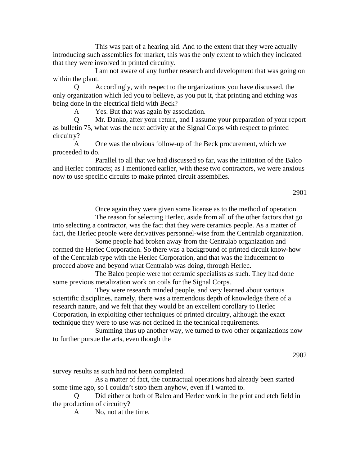This was part of a hearing aid. And to the extent that they were actually introducing such assemblies for market, this was the only extent to which they indicated that they were involved in printed circuitry.

 I am not aware of any further research and development that was going on within the plant.

 Q Accordingly, with respect to the organizations you have discussed, the only organization which led you to believe, as you put it, that printing and etching was being done in the electrical field with Beck?

A Yes. But that was again by association.

 Q Mr. Danko, after your return, and I assume your preparation of your report as bulletin 75, what was the next activity at the Signal Corps with respect to printed circuitry?

 A One was the obvious follow-up of the Beck procurement, which we proceeded to do.

 Parallel to all that we had discussed so far, was the initiation of the Balco and Herlec contracts; as I mentioned earlier, with these two contractors, we were anxious now to use specific circuits to make printed circuit assemblies.

2901

Once again they were given some license as to the method of operation.

 The reason for selecting Herlec, aside from all of the other factors that go into selecting a contractor, was the fact that they were ceramics people. As a matter of fact, the Herlec people were derivatives personnel-wise from the Centralab organization.

 Some people had broken away from the Centralab organization and formed the Herlec Corporation. So there was a background of printed circuit know-how of the Centralab type with the Herlec Corporation, and that was the inducement to proceed above and beyond what Centralab was doing, through Herlec.

 The Balco people were not ceramic specialists as such. They had done some previous metalization work on coils for the Signal Corps.

 They were research minded people, and very learned about various scientific disciplines, namely, there was a tremendous depth of knowledge there of a research nature, and we felt that they would be an excellent corollary to Herlec Corporation, in exploiting other techniques of printed circuitry, although the exact technique they were to use was not defined in the technical requirements.

 Summing thus up another way, we turned to two other organizations now to further pursue the arts, even though the

2902

survey results as such had not been completed.

 As a matter of fact, the contractual operations had already been started some time ago, so I couldn't stop them anyhow, even if I wanted to.

Did either or both of Balco and Herlec work in the print and etch field in the production of circuitry?

A No, not at the time.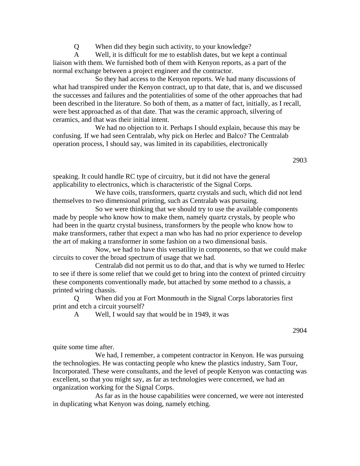Q When did they begin such activity, to your knowledge?

 A Well, it is difficult for me to establish dates, but we kept a continual liaison with them. We furnished both of them with Kenyon reports, as a part of the normal exchange between a project engineer and the contractor.

 So they had access to the Kenyon reports. We had many discussions of what had transpired under the Kenyon contract, up to that date, that is, and we discussed the successes and failures and the potentialities of some of the other approaches that had been described in the literature. So both of them, as a matter of fact, initially, as I recall, were best approached as of that date. That was the ceramic approach, silvering of ceramics, and that was their initial intent.

 We had no objection to it. Perhaps I should explain, because this may be confusing. If we had seen Centralab, why pick on Herlec and Balco? The Centralab operation process, I should say, was limited in its capabilities, electronically

2903

speaking. It could handle RC type of circuitry, but it did not have the general applicability to electronics, which is characteristic of the Signal Corps.

 We have coils, transformers, quartz crystals and such, which did not lend themselves to two dimensional printing, such as Centralab was pursuing.

 So we were thinking that we should try to use the available components made by people who know how to make them, namely quartz crystals, by people who had been in the quartz crystal business, transformers by the people who know how to make transformers, rather that expect a man who has had no prior experience to develop the art of making a transformer in some fashion on a two dimensional basis.

 Now, we had to have this versatility in components, so that we could make circuits to cover the broad spectrum of usage that we had.

 Centralab did not permit us to do that, and that is why we turned to Herlec to see if there is some relief that we could get to bring into the context of printed circuitry these components conventionally made, but attached by some method to a chassis, a printed wiring chassis.

 Q When did you at Fort Monmouth in the Signal Corps laboratories first print and etch a circuit yourself?

A Well, I would say that would be in 1949, it was

2904

quite some time after.

 We had, I remember, a competent contractor in Kenyon. He was pursuing the technologies. He was contacting people who knew the plastics industry, Sam Tour, Incorporated. These were consultants, and the level of people Kenyon was contacting was excellent, so that you might say, as far as technologies were concerned, we had an organization working for the Signal Corps.

 As far as in the house capabilities were concerned, we were not interested in duplicating what Kenyon was doing, namely etching.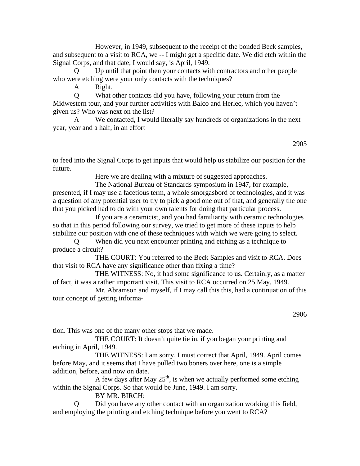However, in 1949, subsequent to the receipt of the bonded Beck samples, and subsequent to a visit to RCA, we -- I might get a specific date. We did etch within the Signal Corps, and that date, I would say, is April, 1949.

Up until that point then your contacts with contractors and other people who were etching were your only contacts with the techniques?

A Right.

 Q What other contacts did you have, following your return from the Midwestern tour, and your further activities with Balco and Herlec, which you haven't given us? Who was next on the list?

 A We contacted, I would literally say hundreds of organizations in the next year, year and a half, in an effort

2905

to feed into the Signal Corps to get inputs that would help us stabilize our position for the future.

Here we are dealing with a mixture of suggested approaches.

 The National Bureau of Standards symposium in 1947, for example, presented, if I may use a facetious term, a whole smorgasbord of technologies, and it was a question of any potential user to try to pick a good one out of that, and generally the one that you picked had to do with your own talents for doing that particular process.

 If you are a ceramicist, and you had familiarity with ceramic technologies so that in this period following our survey, we tried to get more of these inputs to help stabilize our position with one of these techniques with which we were going to select.

 Q When did you next encounter printing and etching as a technique to produce a circuit?

 THE COURT: You referred to the Beck Samples and visit to RCA. Does that visit to RCA have any significance other than fixing a time?

 THE WITNESS: No, it had some significance to us. Certainly, as a matter of fact, it was a rather important visit. This visit to RCA occurred on 25 May, 1949.

 Mr. Abramson and myself, if I may call this this, had a continuation of this tour concept of getting informa-

2906

tion. This was one of the many other stops that we made.

 THE COURT: It doesn't quite tie in, if you began your printing and etching in April, 1949.

 THE WITNESS: I am sorry. I must correct that April, 1949. April comes before May, and it seems that I have pulled two boners over here, one is a simple addition, before, and now on date.

A few days after May  $25<sup>th</sup>$ , is when we actually performed some etching within the Signal Corps. So that would be June, 1949. I am sorry.

BY MR. BIRCH:

 Q Did you have any other contact with an organization working this field, and employing the printing and etching technique before you went to RCA?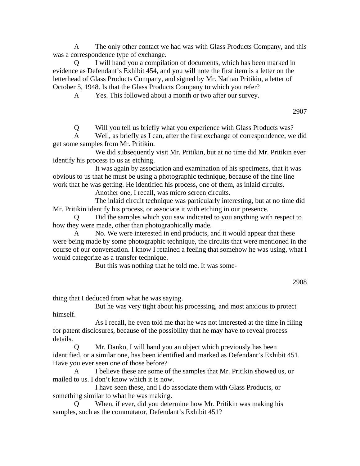A The only other contact we had was with Glass Products Company, and this was a correspondence type of exchange.

 Q I will hand you a compilation of documents, which has been marked in evidence as Defendant's Exhibit 454, and you will note the first item is a letter on the letterhead of Glass Products Company, and signed by Mr. Nathan Pritikin, a letter of October 5, 1948. Is that the Glass Products Company to which you refer?

A Yes. This followed about a month or two after our survey.

2907

Q Will you tell us briefly what you experience with Glass Products was?

 A Well, as briefly as I can, after the first exchange of correspondence, we did get some samples from Mr. Pritikin.

 We did subsequently visit Mr. Pritikin, but at no time did Mr. Pritikin ever identify his process to us as etching.

 It was again by association and examination of his specimens, that it was obvious to us that he must be using a photographic technique, because of the fine line work that he was getting. He identified his process, one of them, as inlaid circuits.

Another one, I recall, was micro screen circuits.

 The inlaid circuit technique was particularly interesting, but at no time did Mr. Pritikin identify his process, or associate it with etching in our presence.

 Q Did the samples which you saw indicated to you anything with respect to how they were made, other than photographically made.

No. We were interested in end products, and it would appear that these were being made by some photographic technique, the circuits that were mentioned in the course of our conversation. I know I retained a feeling that somehow he was using, what I would categorize as a transfer technique.

But this was nothing that he told me. It was some-

thing that I deduced from what he was saying.

 But he was very tight about his processing, and most anxious to protect himself.

 As I recall, he even told me that he was not interested at the time in filing for patent disclosures, because of the possibility that he may have to reveal process details.

 Q Mr. Danko, I will hand you an object which previously has been identified, or a similar one, has been identified and marked as Defendant's Exhibit 451. Have you ever seen one of those before?

 A I believe these are some of the samples that Mr. Pritikin showed us, or mailed to us. I don't know which it is now.

 I have seen these, and I do associate them with Glass Products, or something similar to what he was making.

 Q When, if ever, did you determine how Mr. Pritikin was making his samples, such as the commutator, Defendant's Exhibit 451?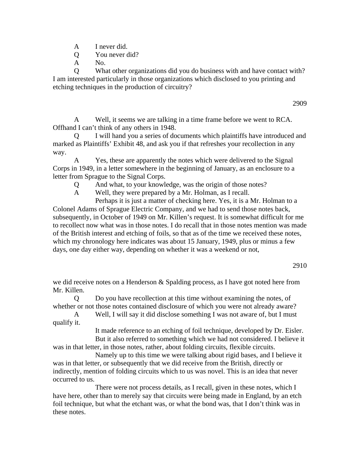- A I never did.
- Q You never did?
- A No.

 Q What other organizations did you do business with and have contact with? I am interested particularly in those organizations which disclosed to you printing and etching techniques in the production of circuitry?

 A Well, it seems we are talking in a time frame before we went to RCA. Offhand I can't think of any others in 1948.

 Q I will hand you a series of documents which plaintiffs have introduced and marked as Plaintiffs' Exhibit 48, and ask you if that refreshes your recollection in any way.

Yes, these are apparently the notes which were delivered to the Signal Corps in 1949, in a letter somewhere in the beginning of January, as an enclosure to a letter from Sprague to the Signal Corps.

Q And what, to your knowledge, was the origin of those notes?

A Well, they were prepared by a Mr. Holman, as I recall.

 Perhaps it is just a matter of checking here. Yes, it is a Mr. Holman to a Colonel Adams of Sprague Electric Company, and we had to send those notes back, subsequently, in October of 1949 on Mr. Killen's request. It is somewhat difficult for me to recollect now what was in those notes. I do recall that in those notes mention was made of the British interest and etching of foils, so that as of the time we received these notes, which my chronology here indicates was about 15 January, 1949, plus or minus a few days, one day either way, depending on whether it was a weekend or not,

2910

we did receive notes on a Henderson & Spalding process, as I have got noted here from Mr. Killen.

 Q Do you have recollection at this time without examining the notes, of whether or not those notes contained disclosure of which you were not already aware?

 A Well, I will say it did disclose something I was not aware of, but I must qualify it.

 It made reference to an etching of foil technique, developed by Dr. Eisler. But it also referred to something which we had not considered. I believe it was in that letter, in those notes, rather, about folding circuits, flexible circuits.

 Namely up to this time we were talking about rigid bases, and I believe it was in that letter, or subsequently that we did receive from the British, directly or indirectly, mention of folding circuits which to us was novel. This is an idea that never occurred to us.

 There were not process details, as I recall, given in these notes, which I have here, other than to merely say that circuits were being made in England, by an etch foil technique, but what the etchant was, or what the bond was, that I don't think was in these notes.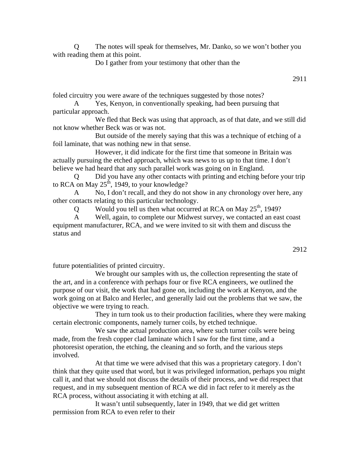Q The notes will speak for themselves, Mr. Danko, so we won't bother you with reading them at this point.

Do I gather from your testimony that other than the

2911

foled circuitry you were aware of the techniques suggested by those notes?

 A Yes, Kenyon, in conventionally speaking, had been pursuing that particular approach.

 We fled that Beck was using that approach, as of that date, and we still did not know whether Beck was or was not.

 But outside of the merely saying that this was a technique of etching of a foil laminate, that was nothing new in that sense.

 However, it did indicate for the first time that someone in Britain was actually pursuing the etched approach, which was news to us up to that time. I don't believe we had heard that any such parallel work was going on in England.

 Q Did you have any other contacts with printing and etching before your trip to RCA on May  $25<sup>th</sup>$ , 1949, to your knowledge?

A No, I don't recall, and they do not show in any chronology over here, any other contacts relating to this particular technology.

Q Would you tell us then what occurred at RCA on May  $25<sup>th</sup>$ , 1949?

 A Well, again, to complete our Midwest survey, we contacted an east coast equipment manufacturer, RCA, and we were invited to sit with them and discuss the status and

future potentialities of printed circuitry.

We brought our samples with us, the collection representing the state of the art, and in a conference with perhaps four or five RCA engineers, we outlined the purpose of our visit, the work that had gone on, including the work at Kenyon, and the work going on at Balco and Herlec, and generally laid out the problems that we saw, the objective we were trying to reach.

 They in turn took us to their production facilities, where they were making certain electronic components, namely turner coils, by etched technique.

We saw the actual production area, where such turner coils were being made, from the fresh copper clad laminate which I saw for the first time, and a photoresist operation, the etching, the cleaning and so forth, and the various steps involved.

 At that time we were advised that this was a proprietary category. I don't think that they quite used that word, but it was privileged information, perhaps you might call it, and that we should not discuss the details of their process, and we did respect that request, and in my subsequent mention of RCA we did in fact refer to it merely as the RCA process, without associating it with etching at all.

 It wasn't until subsequently, later in 1949, that we did get written permission from RCA to even refer to their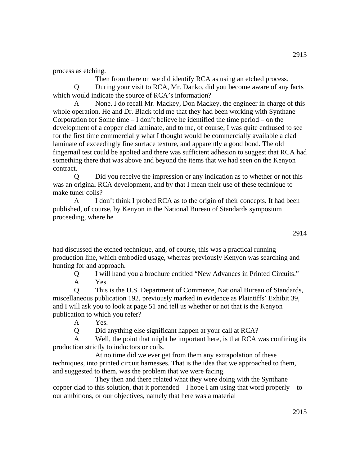process as etching.

 Then from there on we did identify RCA as using an etched process. Q During your visit to RCA, Mr. Danko, did you become aware of any facts which would indicate the source of RCA's information?

 A None. I do recall Mr. Mackey, Don Mackey, the engineer in charge of this whole operation. He and Dr. Black told me that they had been working with Synthane Corporation for Some time – I don't believe he identified the time period – on the development of a copper clad laminate, and to me, of course, I was quite enthused to see for the first time commercially what I thought would be commercially available a clad laminate of exceedingly fine surface texture, and apparently a good bond. The old fingernail test could be applied and there was sufficient adhesion to suggest that RCA had something there that was above and beyond the items that we had seen on the Kenyon contract.

 Q Did you receive the impression or any indication as to whether or not this was an original RCA development, and by that I mean their use of these technique to make tuner coils?

 A I don't think I probed RCA as to the origin of their concepts. It had been published, of course, by Kenyon in the National Bureau of Standards symposium proceeding, where he

had discussed the etched technique, and, of course, this was a practical running production line, which embodied usage, whereas previously Kenyon was searching and hunting for and approach.

 Q I will hand you a brochure entitled "New Advances in Printed Circuits." A Yes.

 Q This is the U.S. Department of Commerce, National Bureau of Standards, miscellaneous publication 192, previously marked in evidence as Plaintiffs' Exhibit 39, and I will ask you to look at page 51 and tell us whether or not that is the Kenyon publication to which you refer?

A Yes.

Q Did anything else significant happen at your call at RCA?

 A Well, the point that might be important here, is that RCA was confining its production strictly to inductors or coils.

 At no time did we ever get from them any extrapolation of these techniques, into printed circuit harnesses. That is the idea that we approached to them, and suggested to them, was the problem that we were facing.

 They then and there related what they were doing with the Synthane copper clad to this solution, that it portended  $-I$  hope I am using that word properly  $-$  to our ambitions, or our objectives, namely that here was a material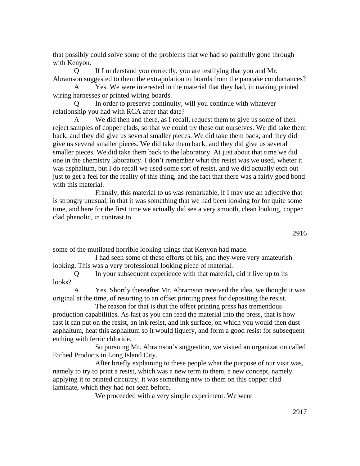that possibly could solve some of the problems that we had so painfully gone through with Kenyon.

 Q If I understand you correctly, you are testifying that you and Mr. Abramson suggested to them the extrapolation to boards from the pancake conductances?

 A Yes. We were interested in the material that they had, in making printed wiring harnesses or printed wiring boards.

In order to preserve continuity, will you continue with whatever relationship you had with RCA after that date?

We did then and there, as I recall, request them to give us some of their reject samples of copper clads, so that we could try these out ourselves. We did take them back, and they did give us several smaller pieces. We did take them back, and they did give us several smaller pieces. We did take them back, and they did give us several smaller pieces. We did take them back to the laboratory. At just about that time we did one in the chemistry laboratory. I don't remember what the resist was we used, wheter it was asphaltum, but I do recall we used some sort of resist, and we did actually etch out just to get a feel for the reality of this thing, and the fact that there was a fairly good bond with this material.

 Frankly, this material to us was remarkable, if I may use an adjective that is strongly unusual, in that it was something that we had been looking for for quite some time, and here for the first time we actually did see a very smooth, clean looking, copper clad phenolic, in contrast to

some of the mutilated horrible looking things that Kenyon had made.

 I had seen some of these efforts of his, and they were very amateurish looking. This was a very professional looking piece of material.

 Q In your subsequent experience with that material, did it live up to its looks?

 A Yes. Shortly thereafter Mr. Abramson received the idea, we thought it was original at the time, of resorting to an offset printing press for depositing the resist.

 The reason for that is that the offset printing press has tremendous production capabilities. As fast as you can feed the material into the press, that is how fast it can put on the resist, an ink resist, and ink surface, on which you would then dust asphaltum, heat this asphaltum so it would liquefy, and form a good resist for subsequent etching with ferric chloride.

 So pursuing Mr. Abramson's suggestion, we visited an organization called Etched Products in Long Island City.

 After briefly explaining to these people what the purpose of our visit was, namely to try to print a resist, which was a new term to them, a new concept, namely applying it to printed circuitry, it was something new to them on this copper clad laminate, which they had not seen before.

We proceeded with a very simple experiment. We went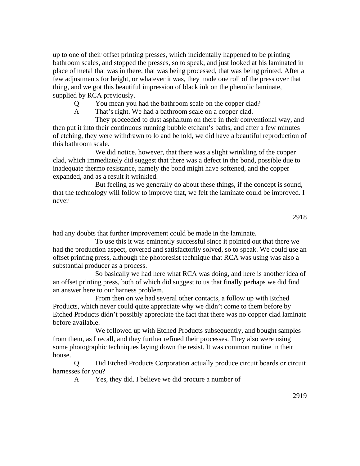up to one of their offset printing presses, which incidentally happened to be printing bathroom scales, and stopped the presses, so to speak, and just looked at his laminated in place of metal that was in there, that was being processed, that was being printed. After a few adjustments for height, or whatever it was, they made one roll of the press over that thing, and we got this beautiful impression of black ink on the phenolic laminate, supplied by RCA previously.

Q You mean you had the bathroom scale on the copper clad?

A That's right. We had a bathroom scale on a copper clad.

 They proceeded to dust asphaltum on there in their conventional way, and then put it into their continuous running bubble etchant's baths, and after a few minutes of etching, they were withdrawn to lo and behold, we did have a beautiful reproduction of this bathroom scale.

 We did notice, however, that there was a slight wrinkling of the copper clad, which immediately did suggest that there was a defect in the bond, possible due to inadequate thermo resistance, namely the bond might have softened, and the copper expanded, and as a result it wrinkled.

 But feeling as we generally do about these things, if the concept is sound, that the technology will follow to improve that, we felt the laminate could be improved. I never

had any doubts that further improvement could be made in the laminate.

 To use this it was eminently successful since it pointed out that there we had the production aspect, covered and satisfactorily solved, so to speak. We could use an offset printing press, although the photoresist technique that RCA was using was also a substantial producer as a process.

 So basically we had here what RCA was doing, and here is another idea of an offset printing press, both of which did suggest to us that finally perhaps we did find an answer here to our harness problem.

 From then on we had several other contacts, a follow up with Etched Products, which never could quite appreciate why we didn't come to them before by Etched Products didn't possibly appreciate the fact that there was no copper clad laminate before available.

 We followed up with Etched Products subsequently, and bought samples from them, as I recall, and they further refined their processes. They also were using some photographic techniques laying down the resist. It was common routine in their house.

 Q Did Etched Products Corporation actually produce circuit boards or circuit harnesses for you?

A Yes, they did. I believe we did procure a number of

2919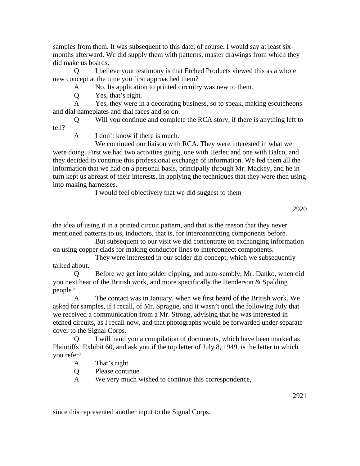samples from them. It was subsequent to this date, of course. I would say at least six months afterward. We did supply them with patterns, master drawings from which they did make us boards.

 Q I believe your testimony is that Etched Products viewed this as a whole new concept at the time you first approached them?

A No. Its application to printed circuitry was new to them.

Q Yes, that's right.

 A Yes, they were in a decorating business, so to speak, making escutcheons and dial nameplates and dial faces and so on.

 Q Will you continue and complete the RCA story, if there is anything left to tell?

A I don't know if there is much.

 We continued our liaison with RCA. They were interested in what we were doing. First we had two activities going, one with Herlec and one with Balco, and they decided to continue this professional exchange of information. We fed them all the information that we had on a personal basis, principally through Mr. Mackey, and he in turn kept us abreast of their interests, in applying the techniques that they were then using into making harnesses.

I would feel objectively that we did suggest to them

2920

the idea of using it in a printed circuit pattern, and that is the reason that they never mentioned patterns to us, inductors, that is, for interconnecting components before.

 But subsequent to our visit we did concentrate on exchanging information on using copper clads for making conductor lines to interconnect components.

 They were interested in our solder dip concept, which we subsequently talked about.

 Q Before we get into solder dipping, and auto-sembly, Mr. Danko, when did you next hear of the British work, and more specifically the Henderson & Spalding people?

 A The contact was in January, when we first heard of the British work. We asked for samples, if I recall, of Mr. Sprague, and it wasn't until the following July that we received a communication from a Mr. Strong, advising that he was interested in etched circuits, as I recall now, and that photographs would be forwarded under separate cover to the Signal Corps.

 Q I will hand you a compilation of documents, which have been marked as Plaintiffs' Exhibit 60, and ask you if the top letter of July 8, 1949, is the letter to which you refer?

A That's right.

Q Please continue.

A We very much wished to continue this correspondence,

since this represented another input to the Signal Corps.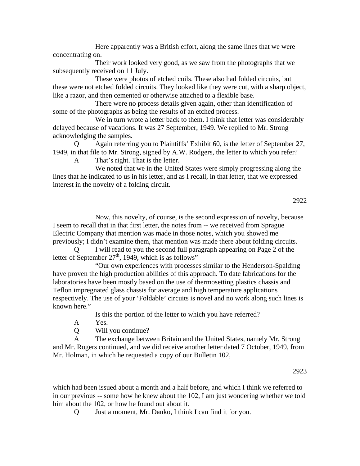Here apparently was a British effort, along the same lines that we were concentrating on.

 Their work looked very good, as we saw from the photographs that we subsequently received on 11 July.

 These were photos of etched coils. These also had folded circuits, but these were not etched folded circuits. They looked like they were cut, with a sharp object, like a razor, and then cemented or otherwise attached to a flexible base.

 There were no process details given again, other than identification of some of the photographs as being the results of an etched process.

 We in turn wrote a letter back to them. I think that letter was considerably delayed because of vacations. It was 27 September, 1949. We replied to Mr. Strong acknowledging the samples.

 Q Again referring you to Plaintiffs' Exhibit 60, is the letter of September 27, 1949, in that file to Mr. Strong, signed by A.W. Rodgers, the letter to which you refer? A That's right. That is the letter.

 We noted that we in the United States were simply progressing along the lines that he indicated to us in his letter, and as I recall, in that letter, that we expressed interest in the novelty of a folding circuit.

 Now, this novelty, of course, is the second expression of novelty, because I seem to recall that in that first letter, the notes from -- we received from Sprague Electric Company that mention was made in those notes, which you showed me previously; I didn't examine them, that mention was made there about folding circuits.

 Q I will read to you the second full paragraph appearing on Page 2 of the letter of September  $27<sup>th</sup>$ , 1949, which is as follows"

 "Our own experiences with processes similar to the Henderson-Spalding have proven the high production abilities of this approach. To date fabrications for the laboratories have been mostly based on the use of thermosetting plastics chassis and Teflon impregnated glass chassis for average and high temperature applications respectively. The use of your 'Foldable' circuits is novel and no work along such lines is known here."

Is this the portion of the letter to which you have referred?

A Yes.

Q Will you continue?

 A The exchange between Britain and the United States, namely Mr. Strong and Mr. Rogers continued, and we did receive another letter dated 7 October, 1949, from Mr. Holman, in which he requested a copy of our Bulletin 102,

2923

which had been issued about a month and a half before, and which I think we referred to in our previous -- some how he knew about the 102, I am just wondering whether we told him about the 102, or how he found out about it.

Q Just a moment, Mr. Danko, I think I can find it for you.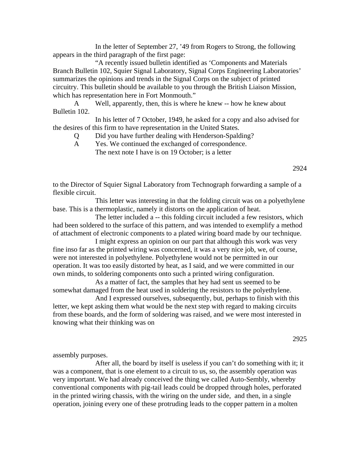In the letter of September 27, '49 from Rogers to Strong, the following appears in the third paragraph of the first page:

 "A recently issued bulletin identified as 'Components and Materials Branch Bulletin 102, Squier Signal Laboratory, Signal Corps Engineering Laboratories' summarizes the opinions and trends in the Signal Corps on the subject of printed circuitry. This bulletin should be available to you through the British Liaison Mission, which has representation here in Fort Monmouth."

 A Well, apparently, then, this is where he knew -- how he knew about Bulletin 102.

 In his letter of 7 October, 1949, he asked for a copy and also advised for the desires of this firm to have representation in the United States.

- Q Did you have further dealing with Henderson-Spalding?
- A Yes. We continued the exchanged of correspondence. The next note I have is on 19 October; is a letter

to the Director of Squier Signal Laboratory from Technograph forwarding a sample of a flexible circuit.

 This letter was interesting in that the folding circuit was on a polyethylene base. This is a thermoplastic, namely it distorts on the application of heat.

 The letter included a -- this folding circuit included a few resistors, which had been soldered to the surface of this pattern, and was intended to exemplify a method of attachment of electronic components to a plated wiring board made by our technique.

 I might express an opinion on our part that although this work was very fine inso far as the printed wiring was concerned, it was a very nice job, we, of course, were not interested in polyethylene. Polyethylene would not be permitted in our operation. It was too easily distorted by heat, as I said, and we were committed in our own minds, to soldering components onto such a printed wiring configuration.

 As a matter of fact, the samples that hey had sent us seemed to be somewhat damaged from the heat used in soldering the resistors to the polyethylene.

 And I expressed ourselves, subsequently, but, perhaps to finish with this letter, we kept asking them what would be the next step with regard to making circuits from these boards, and the form of soldering was raised, and we were most interested in knowing what their thinking was on

2925

assembly purposes.

 After all, the board by itself is useless if you can't do something with it; it was a component, that is one element to a circuit to us, so, the assembly operation was very important. We had already conceived the thing we called Auto-Sembly, whereby conventional components with pig-tail leads could be dropped through holes, perforated in the printed wiring chassis, with the wiring on the under side, and then, in a single operation, joining every one of these protruding leads to the copper pattern in a molten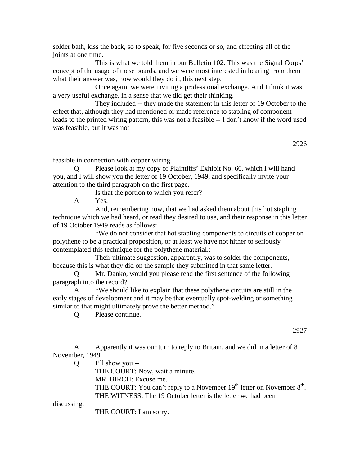solder bath, kiss the back, so to speak, for five seconds or so, and effecting all of the joints at one time.

 This is what we told them in our Bulletin 102. This was the Signal Corps' concept of the usage of these boards, and we were most interested in hearing from them what their answer was, how would they do it, this next step.

 Once again, we were inviting a professional exchange. And I think it was a very useful exchange, in a sense that we did get their thinking.

 They included -- they made the statement in this letter of 19 October to the effect that, although they had mentioned or made reference to stapling of component leads to the printed wiring pattern, this was not a feasible -- I don't know if the word used was feasible, but it was not

2926

feasible in connection with copper wiring.

Please look at my copy of Plaintiffs' Exhibit No. 60, which I will hand you, and I will show you the letter of 19 October, 1949, and specifically invite your attention to the third paragraph on the first page.

Is that the portion to which you refer?

A Yes.

 And, remembering now, that we had asked them about this hot stapling technique which we had heard, or read they desired to use, and their response in this letter of 19 October 1949 reads as follows:

 "We do not consider that hot stapling components to circuits of copper on polythene to be a practical proposition, or at least we have not hither to seriously contemplated this technique for the polythene material.:

 Their ultimate suggestion, apparently, was to solder the components, because this is what they did on the sample they submitted in that same letter.

 Q Mr. Danko, would you please read the first sentence of the following paragraph into the record?

 A "We should like to explain that these polythene circuits are still in the early stages of development and it may be that eventually spot-welding or something similar to that might ultimately prove the better method."

Q Please continue.

2927

 A Apparently it was our turn to reply to Britain, and we did in a letter of 8 November, 1949.

Q I'll show you --

THE COURT: Now, wait a minute.

MR. BIRCH: Excuse me.

THE COURT: You can't reply to a November  $19<sup>th</sup>$  letter on November  $8<sup>th</sup>$ . THE WITNESS: The 19 October letter is the letter we had been

discussing.

THE COURT: I am sorry.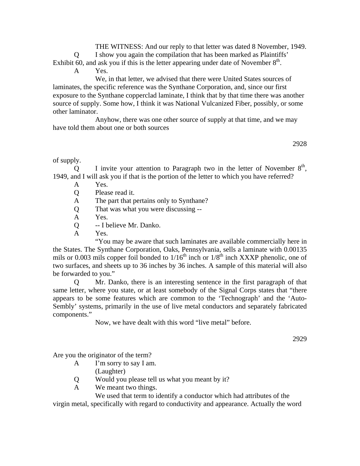THE WITNESS: And our reply to that letter was dated 8 November, 1949. Q I show you again the compilation that has been marked as Plaintiffs' Exhibit 60, and ask you if this is the letter appearing under date of November  $8<sup>th</sup>$ .

A Yes.

 We, in that letter, we advised that there were United States sources of laminates, the specific reference was the Synthane Corporation, and, since our first exposure to the Synthane copperclad laminate, I think that by that time there was another source of supply. Some how, I think it was National Vulcanized Fiber, possibly, or some other laminator.

 Anyhow, there was one other source of supply at that time, and we may have told them about one or both sources

2928

of supply.

Q I invite your attention to Paragraph two in the letter of November  $8<sup>th</sup>$ , 1949, and I will ask you if that is the portion of the letter to which you have referred?

- A Yes.
- Q Please read it.
- A The part that pertains only to Synthane?
- Q That was what you were discussing --
- A Yes.
- Q -- I believe Mr. Danko.
- A Yes.

 "You may be aware that such laminates are available commercially here in the States. The Synthane Corporation, Oaks, Pennsylvania, sells a laminate with 0.00135 mils or 0.003 mils copper foil bonded to  $1/16<sup>th</sup>$  inch or  $1/8<sup>th</sup>$  inch XXXP phenolic, one of two surfaces, and sheets up to 36 inches by 36 inches. A sample of this material will also be forwarded to you."

 Q Mr. Danko, there is an interesting sentence in the first paragraph of that same letter, where you state, or at least somebody of the Signal Corps states that "there appears to be some features which are common to the 'Technograph' and the 'Auto-Sembly' systems, primarily in the use of live metal conductors and separately fabricated components."

Now, we have dealt with this word "live metal" before.

2929

Are you the originator of the term?

- A I'm sorry to say I am. (Laughter)
- Q Would you please tell us what you meant by it?
- A We meant two things.

 We used that term to identify a conductor which had attributes of the virgin metal, specifically with regard to conductivity and appearance. Actually the word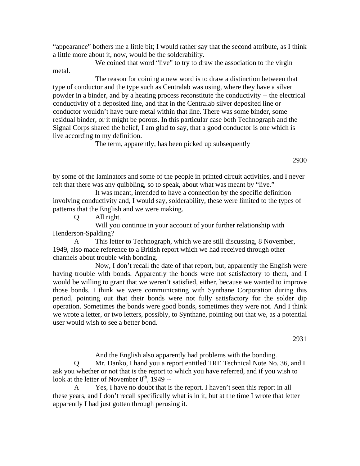"appearance" bothers me a little bit; I would rather say that the second attribute, as I think a little more about it, now, would be the solderability.

We coined that word "live" to try to draw the association to the virgin metal.

 The reason for coining a new word is to draw a distinction between that type of conductor and the type such as Centralab was using, where they have a silver powder in a binder, and by a heating process reconstitute the conductivity -- the electrical conductivity of a deposited line, and that in the Centralab silver deposited line or conductor wouldn't have pure metal within that line. There was some binder, some residual binder, or it might be porous. In this particular case both Technograph and the Signal Corps shared the belief, I am glad to say, that a good conductor is one which is live according to my definition.

The term, apparently, has been picked up subsequently

2930

by some of the laminators and some of the people in printed circuit activities, and I never felt that there was any quibbling, so to speak, about what was meant by "live."

 It was meant, intended to have a connection by the specific definition involving conductivity and, I would say, solderability, these were limited to the types of patterns that the English and we were making.

Q All right.

 Will you continue in your account of your further relationship with Henderson-Spalding?

 A This letter to Technograph, which we are still discussing, 8 November, 1949, also made reference to a British report which we had received through other channels about trouble with bonding.

 Now, I don't recall the date of that report, but, apparently the English were having trouble with bonds. Apparently the bonds were not satisfactory to them, and I would be willing to grant that we weren't satisfied, either, because we wanted to improve those bonds. I think we were communicating with Synthane Corporation during this period, pointing out that their bonds were not fully satisfactory for the solder dip operation. Sometimes the bonds were good bonds, sometimes they were not. And I think we wrote a letter, or two letters, possibly, to Synthane, pointing out that we, as a potential user would wish to see a better bond.

2931

And the English also apparently had problems with the bonding.

 Q Mr. Danko, I hand you a report entitled TRE Technical Note No. 36, and I ask you whether or not that is the report to which you have referred, and if you wish to look at the letter of November  $8<sup>th</sup>$ , 1949 --

 A Yes, I have no doubt that is the report. I haven't seen this report in all these years, and I don't recall specifically what is in it, but at the time I wrote that letter apparently I had just gotten through perusing it.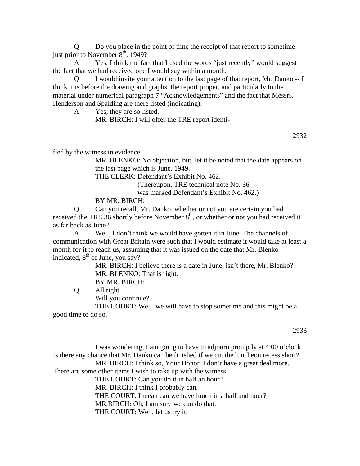Q Do you place in the point of time the receipt of that report to sometime just prior to November  $8<sup>th</sup>$ , 1949?

 A Yes, I think the fact that I used the words "just recently" would suggest the fact that we had received one I would say within a month.

 Q I would invite your attention to the last page of that report, Mr. Danko -- I think it is before the drawing and graphs, the report proper, and particularly to the material under numerical paragraph 7 "Acknowledgements" and the fact that Messrs. Henderson and Spalding are there listed (indicating).

A Yes, they are so listed.

MR. BIRCH: I will offer the TRE report identi-

2932

fied by the witness in evidence.

MR. BLENKO: No objection, but, let it be noted that the date appears on the last page which is June, 1949.

THE CLERK: Defendant's Exhibit No. 462.

(Thereupon, TRE technical note No. 36

was marked Defendant's Exhibit No. 462.)

BY MR. BIRCH:

 Q Can you recall, Mr. Danko, whether or not you are certain you had received the TRE 36 shortly before November  $8<sup>th</sup>$ , or whether or not you had received it as far back as June?

 A Well, I don't think we would have gotten it in June. The channels of communication with Great Britain were such that I would estimate it would take at least a month for it to reach us, assuming that it was issued on the date that Mr. Blenko indicated,  $8<sup>th</sup>$  of June, you say?

> MR. BIRCH: I believe there is a date in June, isn't there, Mr. Blenko? MR. BLENKO: That is right.

BY MR. BIRCH:

Q All right.

Will you continue?

 THE COURT: Well, we will have to stop sometime and this might be a good time to do so.

2933

 I was wondering, I am going to have to adjourn promptly at 4:00 o'clock. Is there any chance that Mr. Danko can be finished if we cut the luncheon recess short? MR. BIRCH: I think so, Your Honor. I don't have a great deal more. There are some other items I wish to take up with the witness. THE COURT: Can you do it in half an hour?

 MR. BIRCH: I think I probably can. THE COURT: I mean can we have lunch in a half and hour? MR.BIRCH: Oh, I am sure we can do that.

THE COURT: Well, let us try it.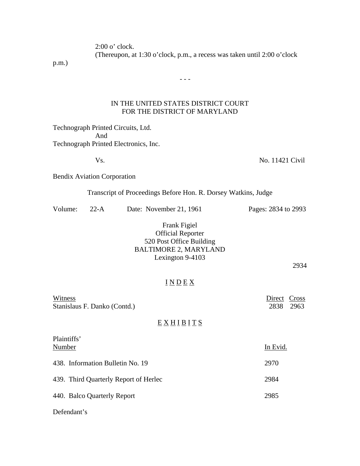2:00 o' clock.

(Thereupon, at 1:30 o'clock, p.m., a recess was taken until 2:00 o'clock

p.m.)

## IN THE UNITED STATES DISTRICT COURT FOR THE DISTRICT OF MARYLAND

 $- - -$ 

Technograph Printed Circuits, Ltd. And Technograph Printed Electronics, Inc.

Vs. No. 11421 Civil

Bendix Aviation Corporation

## Transcript of Proceedings Before Hon. R. Dorsey Watkins, Judge

| Volume: | 22-A | Date: November 21, 1961 | Pages: 2834 to 2993 |
|---------|------|-------------------------|---------------------|
|         |      |                         |                     |

## Frank Figiel Official Reporter 520 Post Office Building BALTIMORE 2, MARYLAND Lexington 9-4103

2934

# $I N D E X$

| Witness                      | Direct Cross |           |
|------------------------------|--------------|-----------|
| Stanislaus F. Danko (Contd.) |              | 2838 2963 |

# $E X H I B I T S$

| Plaintiffs'                           |      |  |
|---------------------------------------|------|--|
| Number                                |      |  |
| 438. Information Bulletin No. 19      | 2970 |  |
| 439. Third Quarterly Report of Herlec | 2984 |  |
| 440. Balco Quarterly Report           | 2985 |  |
|                                       |      |  |

Defendant's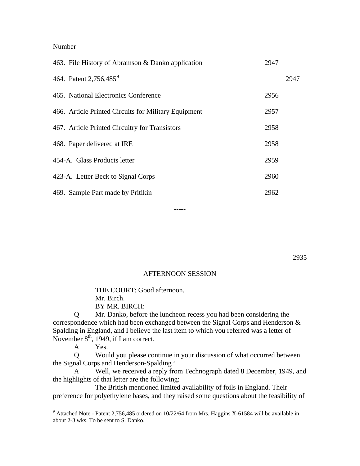#### Number

| 463. File History of Abramson & Danko application    | 2947 |      |
|------------------------------------------------------|------|------|
| 464. Patent 2,756,485 <sup>9</sup>                   |      | 2947 |
| 465. National Electronics Conference                 | 2956 |      |
| 466. Article Printed Circuits for Military Equipment | 2957 |      |
| 467. Article Printed Circuitry for Transistors       | 2958 |      |
| 468. Paper delivered at IRE                          | 2958 |      |
| 454-A. Glass Products letter                         | 2959 |      |
| 423-A. Letter Beck to Signal Corps                   | 2960 |      |
| 469. Sample Part made by Pritikin                    | 2962 |      |

2935

#### AFTERNOON SESSION

-----

 THE COURT: Good afternoon. Mr. Birch. BY MR. BIRCH:

 Q Mr. Danko, before the luncheon recess you had been considering the correspondence which had been exchanged between the Signal Corps and Henderson & Spalding in England, and I believe the last item to which you referred was a letter of November  $8<sup>th</sup>$ , 1949, if I am correct.

A Yes.

 Q Would you please continue in your discussion of what occurred between the Signal Corps and Henderson-Spalding?

 A Well, we received a reply from Technograph dated 8 December, 1949, and the highlights of that letter are the following:

 The British mentioned limited availability of foils in England. Their preference for polyethylene bases, and they raised some questions about the feasibility of

<span id="page-49-0"></span> 9 Attached Note - Patent 2,756,485 ordered on 10/22/64 from Mrs. Haggins X-61584 will be available in about 2-3 wks. To be sent to S. Danko.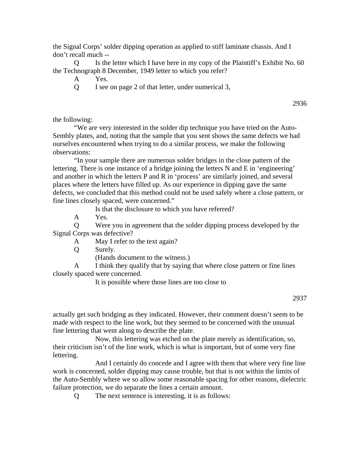the Signal Corps' solder dipping operation as applied to stiff laminate chassis. And I don't recall much --

 Q Is the letter which I have here in my copy of the Plaintiff's Exhibit No. 60 the Technograph 8 December, 1949 letter to which you refer?

- A Yes.
- Q I see on page 2 of that letter, under numerical 3,

2936

the following:

 "We are very interested in the solder dip technique you have tried on the Auto-Sembly plates, and, noting that the sample that you sent shows the same defects we had ourselves encountered when trying to do a similar process, we make the following observations:

 "In your sample there are numerous solder bridges in the close pattern of the lettering. There is one instance of a bridge joining the letters N and E in 'engineering' and another in which the letters P and R in 'process' are similarly joined, and several places where the letters have filled up. As our experience in dipping gave the same defects, we concluded that this method could not be used safely where a close pattern, or fine lines closely spaced, were concerned."

Is that the disclosure to which you have referred?

A Yes.

 Q Were you in agreement that the solder dipping process developed by the Signal Corps was defective?

A May I refer to the text again?

Q Surely.

(Hands document to the witness.)

 A I think they qualify that by saying that where close pattern or fine lines closely spaced were concerned.

It is possible where those lines are too close to

#### 2937

actually get such bridging as they indicated. However, their comment doesn't seem to be made with respect to the line work, but they seemed to be concerned with the unusual fine lettering that went along to describe the plate.

 Now, this lettering was etched on the plate merely as identification, so, their criticism isn't of the line work, which is what is important, but of some very fine lettering.

 And I certainly do concede and I agree with them that where very fine line work is concerned, solder dipping may cause trouble, but that is not within the limits of the Auto-Sembly where we so allow some reasonable spacing for other reasons, dielectric failure protection, we do separate the lines a certain amount.

Q The next sentence is interesting, it is as follows: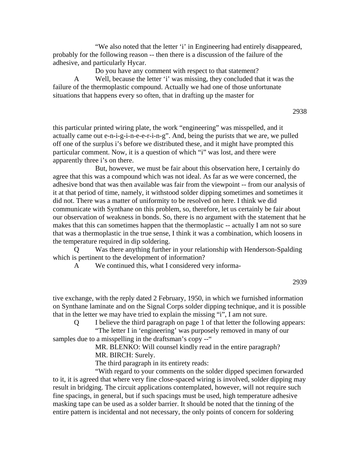"We also noted that the letter 'i' in Engineering had entirely disappeared, probably for the following reason -- then there is a discussion of the failure of the adhesive, and particularly Hycar.

Do you have any comment with respect to that statement?

 A Well, because the letter 'i' was missing, they concluded that it was the failure of the thermoplastic compound. Actually we had one of those unfortunate situations that happens every so often, that in drafting up the master for

2938

this particular printed wiring plate, the work "engineering" was misspelled, and it actually came out e-n-i-g-i-n-e-e-r-i-n-g". And, being the purists that we are, we pulled off one of the surplus i's before we distributed these, and it might have prompted this particular comment. Now, it is a question of which "i" was lost, and there were apparently three i's on there.

 But, however, we must be fair about this observation here, I certainly do agree that this was a compound which was not ideal. As far as we were concerned, the adhesive bond that was then available was fair from the viewpoint -- from our analysis of it at that period of time, namely, it withstood solder dipping sometimes and sometimes it did not. There was a matter of uniformity to be resolved on here. I think we did communicate with Synthane on this problem, so, therefore, let us certainly be fair about our observation of weakness in bonds. So, there is no argument with the statement that he makes that this can sometimes happen that the thermoplastic -- actually I am not so sure that was a thermoplastic in the true sense, I think it was a combination, which loosens in the temperature required in dip soldering.

 Q Was there anything further in your relationship with Henderson-Spalding which is pertinent to the development of information?

A We continued this, what I considered very informa-

2939

tive exchange, with the reply dated 2 February, 1950, in which we furnished information on Synthane laminate and on the Signal Corps solder dipping technique, and it is possible that in the letter we may have tried to explain the missing "i", I am not sure.

 Q I believe the third paragraph on page 1 of that letter the following appears: "The letter I in 'engineering' was purposely removed in many of our

samples due to a misspelling in the draftsman's copy --"

 MR. BLENKO: Will counsel kindly read in the entire paragraph? MR. BIRCH: Surely.

The third paragraph in its entirety reads:

 "With regard to your comments on the solder dipped specimen forwarded to it, it is agreed that where very fine close-spaced wiring is involved, solder dipping may result in bridging. The circuit applications contemplated, however, will not require such fine spacings, in general, but if such spacings must be used, high temperature adhesive masking tape can be used as a solder barrier. It should be noted that the tinning of the entire pattern is incidental and not necessary, the only points of concern for soldering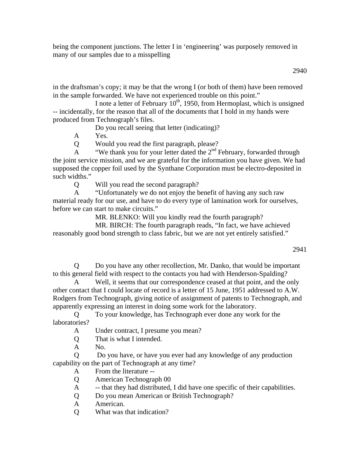being the component junctions. The letter I in 'engineering' was purposely removed in many of our samples due to a misspelling

2940

in the draftsman's copy; it may be that the wrong I (or both of them) have been removed in the sample forwarded. We have not experienced trouble on this point."

I note a letter of February  $10^{th}$ , 1950, from Hermoplast, which is unsigned -- incidentally, for the reason that all of the documents that I hold in my hands were produced from Technograph's files.

Do you recall seeing that letter (indicating)?

A Yes.

Q Would you read the first paragraph, please?

A "We thank you for your letter dated the  $2<sup>nd</sup>$  February, forwarded through the joint service mission, and we are grateful for the information you have given. We had supposed the copper foil used by the Synthane Corporation must be electro-deposited in such widths."

Q Will you read the second paragraph?

 A "Unfortunately we do not enjoy the benefit of having any such raw material ready for our use, and have to do every type of lamination work for ourselves, before we can start to make circuits."

MR. BLENKO: Will you kindly read the fourth paragraph?

 MR. BIRCH: The fourth paragraph reads, "In fact, we have achieved reasonably good bond strength to class fabric, but we are not yet entirely satisfied."

2941

 Q Do you have any other recollection, Mr. Danko, that would be important to this general field with respect to the contacts you had with Henderson-Spalding?

Well, it seems that our correspondence ceased at that point, and the only other contact that I could locate of record is a letter of 15 June, 1951 addressed to A.W. Rodgers from Technograph, giving notice of assignment of patents to Technograph, and apparently expressing an interest in doing some work for the laboratory.

 Q To your knowledge, has Technograph ever done any work for the laboratories?

A Under contract, I presume you mean?

Q That is what I intended.

A No.

 Q Do you have, or have you ever had any knowledge of any production capability on the part of Technograph at any time?

A From the literature --

Q American Technograph 00

A -- that they had distributed, I did have one specific of their capabilities.

Q Do you mean American or British Technograph?

A American.

Q What was that indication?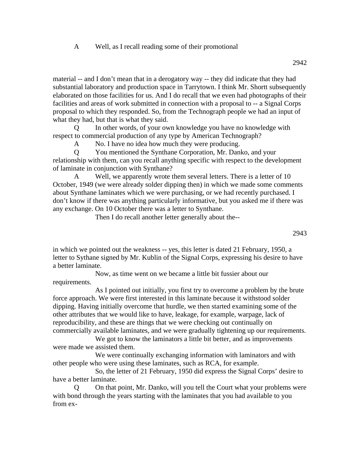### A Well, as I recall reading some of their promotional

material -- and I don't mean that in a derogatory way -- they did indicate that they had substantial laboratory and production space in Tarrytown. I think Mr. Shortt subsequently elaborated on those facilities for us. And I do recall that we even had photographs of their facilities and areas of work submitted in connection with a proposal to -- a Signal Corps proposal to which they responded. So, from the Technograph people we had an input of what they had, but that is what they said.

 Q In other words, of your own knowledge you have no knowledge with respect to commercial production of any type by American Technograph?

A No. I have no idea how much they were producing.

 Q You mentioned the Synthane Corporation, Mr. Danko, and your relationship with them, can you recall anything specific with respect to the development of laminate in conjunction with Synthane?

 A Well, we apparently wrote them several letters. There is a letter of 10 October, 1949 (we were already solder dipping then) in which we made some comments about Synthane laminates which we were purchasing, or we had recently purchased. I don't know if there was anything particularly informative, but you asked me if there was any exchange. On 10 October there was a letter to Synthane.

Then I do recall another letter generally about the--

in which we pointed out the weakness -- yes, this letter is dated 21 February, 1950, a letter to Sythane signed by Mr. Kublin of the Signal Corps, expressing his desire to have a better laminate.

 Now, as time went on we became a little bit fussier about our requirements.

 As I pointed out initially, you first try to overcome a problem by the brute force approach. We were first interested in this laminate because it withstood solder dipping. Having initially overcome that hurdle, we then started examining some of the other attributes that we would like to have, leakage, for example, warpage, lack of reproducibility, and these are things that we were checking out continually on commercially available laminates, and we were gradually tightening up our requirements.

 We got to know the laminators a little bit better, and as improvements were made we assisted them.

 We were continually exchanging information with laminators and with other people who were using these laminates, such as RCA, for example.

 So, the letter of 21 February, 1950 did express the Signal Corps' desire to have a better laminate.

 Q On that point, Mr. Danko, will you tell the Court what your problems were with bond through the years starting with the laminates that you had available to you from ex-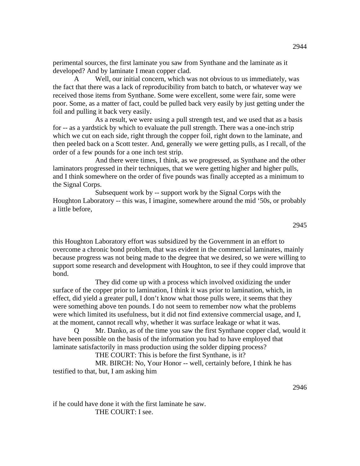perimental sources, the first laminate you saw from Synthane and the laminate as it developed? And by laminate I mean copper clad.

 A Well, our initial concern, which was not obvious to us immediately, was the fact that there was a lack of reproducibility from batch to batch, or whatever way we received those items from Synthane. Some were excellent, some were fair, some were poor. Some, as a matter of fact, could be pulled back very easily by just getting under the foil and pulling it back very easily.

 As a result, we were using a pull strength test, and we used that as a basis for -- as a yardstick by which to evaluate the pull strength. There was a one-inch strip which we cut on each side, right through the copper foil, right down to the laminate, and then peeled back on a Scott tester. And, generally we were getting pulls, as I recall, of the order of a few pounds for a one inch test strip.

 And there were times, I think, as we progressed, as Synthane and the other laminators progressed in their techniques, that we were getting higher and higher pulls, and I think somewhere on the order of five pounds was finally accepted as a minimum to the Signal Corps.

 Subsequent work by -- support work by the Signal Corps with the Houghton Laboratory -- this was, I imagine, somewhere around the mid '50s, or probably a little before,

2945

this Houghton Laboratory effort was subsidized by the Government in an effort to overcome a chronic bond problem, that was evident in the commercial laminates, mainly because progress was not being made to the degree that we desired, so we were willing to support some research and development with Houghton, to see if they could improve that bond.

 They did come up with a process which involved oxidizing the under surface of the copper prior to lamination, I think it was prior to lamination, which, in effect, did yield a greater pull, I don't know what those pulls were, it seems that they were something above ten pounds. I do not seem to remember now what the problems were which limited its usefulness, but it did not find extensive commercial usage, and I, at the moment, cannot recall why, whether it was surface leakage or what it was.

 Q Mr. Danko, as of the time you saw the first Synthane copper clad, would it have been possible on the basis of the information you had to have employed that laminate satisfactorily in mass production using the solder dipping process?

THE COURT: This is before the first Synthane, is it?

 MR. BIRCH: No, Your Honor -- well, certainly before, I think he has testified to that, but, I am asking him

2946

if he could have done it with the first laminate he saw. THE COURT: I see.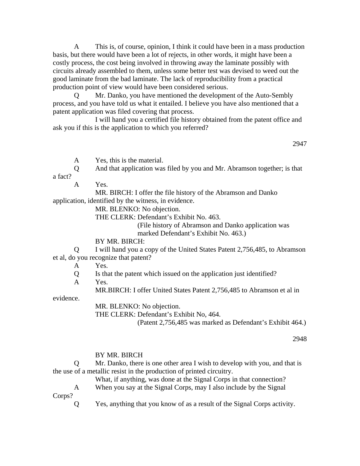A This is, of course, opinion, I think it could have been in a mass production basis, but there would have been a lot of rejects, in other words, it might have been a costly process, the cost being involved in throwing away the laminate possibly with circuits already assembled to them, unless some better test was devised to weed out the good laminate from the bad laminate. The lack of reproducibility from a practical production point of view would have been considered serious.

Mr. Danko, you have mentioned the development of the Auto-Sembly process, and you have told us what it entailed. I believe you have also mentioned that a patent application was filed covering that process.

 I will hand you a certified file history obtained from the patent office and ask you if this is the application to which you referred?

2947

A Yes, this is the material.

 Q And that application was filed by you and Mr. Abramson together; is that a fact?

A Yes.

 MR. BIRCH: I offer the file history of the Abramson and Danko application, identified by the witness, in evidence.

MR. BLENKO: No objection.

THE CLERK: Defendant's Exhibit No. 463.

(File history of Abramson and Danko application was marked Defendant's Exhibit No. 463.)

BY MR. BIRCH:

 Q I will hand you a copy of the United States Patent 2,756,485, to Abramson et al, do you recognize that patent?

A Yes.

Q Is that the patent which issued on the application just identified?

A Yes.

MR.BIRCH: I offer United States Patent 2,756,485 to Abramson et al in

evidence.

MR. BLENKO: No objection.

THE CLERK: Defendant's Exhibit No, 464.

(Patent 2,756,485 was marked as Defendant's Exhibit 464.)

2948

#### BY MR. BIRCH

 Q Mr. Danko, there is one other area I wish to develop with you, and that is the use of a metallic resist in the production of printed circuitry.

 What, if anything, was done at the Signal Corps in that connection? A When you say at the Signal Corps, may I also include by the Signal

Corps?

Q Yes, anything that you know of as a result of the Signal Corps activity.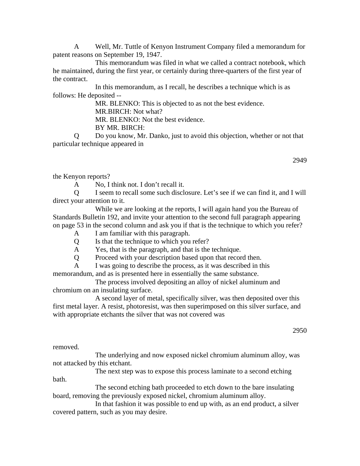A Well, Mr. Tuttle of Kenyon Instrument Company filed a memorandum for patent reasons on September 19, 1947.

 This memorandum was filed in what we called a contract notebook, which he maintained, during the first year, or certainly during three-quarters of the first year of the contract.

 In this memorandum, as I recall, he describes a technique which is as follows: He deposited --

 MR. BLENKO: This is objected to as not the best evidence. MR.BIRCH: Not what? MR. BLENKO: Not the best evidence.

BY MR. BIRCH:

 Q Do you know, Mr. Danko, just to avoid this objection, whether or not that particular technique appeared in

2949

the Kenyon reports?

A No, I think not. I don't recall it.

 Q I seem to recall some such disclosure. Let's see if we can find it, and I will direct your attention to it.

 While we are looking at the reports, I will again hand you the Bureau of Standards Bulletin 192, and invite your attention to the second full paragraph appearing on page 53 in the second column and ask you if that is the technique to which you refer?

- A I am familiar with this paragraph.
- Q Is that the technique to which you refer?
- A Yes, that is the paragraph, and that is the technique.
- Q Proceed with your description based upon that record then.
- A I was going to describe the process, as it was described in this

memorandum, and as is presented here in essentially the same substance.

 The process involved depositing an alloy of nickel aluminum and chromium on an insulating surface.

 A second layer of metal, specifically silver, was then deposited over this first metal layer. A resist, photoresist, was then superimposed on this silver surface, and with appropriate etchants the silver that was not covered was

2950

removed.

 The underlying and now exposed nickel chromium aluminum alloy, was not attacked by this etchant.

 The next step was to expose this process laminate to a second etching bath.

 The second etching bath proceeded to etch down to the bare insulating board, removing the previously exposed nickel, chromium aluminum alloy.

 In that fashion it was possible to end up with, as an end product, a silver covered pattern, such as you may desire.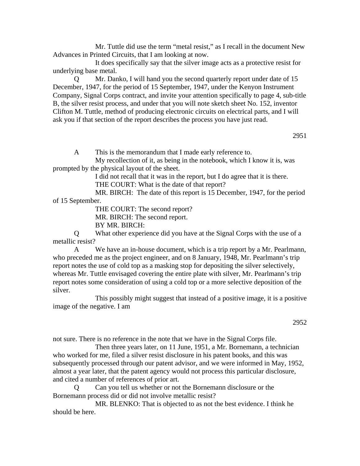Mr. Tuttle did use the term "metal resist," as I recall in the document New Advances in Printed Circuits, that I am looking at now.

 It does specifically say that the silver image acts as a protective resist for underlying base metal.

 Q Mr. Danko, I will hand you the second quarterly report under date of 15 December, 1947, for the period of 15 September, 1947, under the Kenyon Instrument Company, Signal Corps contract, and invite your attention specifically to page 4, sub-title B, the silver resist process, and under that you will note sketch sheet No. 152, inventor Clifton M. Tuttle, method of producing electronic circuits on electrical parts, and I will ask you if that section of the report describes the process you have just read.

2951

A This is the memorandum that I made early reference to.

 My recollection of it, as being in the notebook, which I know it is, was prompted by the physical layout of the sheet.

I did not recall that it was in the report, but I do agree that it is there.

THE COURT: What is the date of that report?

 MR. BIRCH: The date of this report is 15 December, 1947, for the period of 15 September.

THE COURT: The second report?

MR. BIRCH: The second report.

BY MR. BIRCH:

 Q What other experience did you have at the Signal Corps with the use of a metallic resist?

 A We have an in-house document, which is a trip report by a Mr. Pearlmann, who preceded me as the project engineer, and on 8 January, 1948, Mr. Pearlmann's trip report notes the use of cold top as a masking stop for depositing the silver selectively, whereas Mr. Tuttle envisaged covering the entire plate with silver, Mr. Pearlmann's trip report notes some consideration of using a cold top or a more selective deposition of the silver.

 This possibly might suggest that instead of a positive image, it is a positive image of the negative. I am

2952

not sure. There is no reference in the note that we have in the Signal Corps file.

 Then three years later, on 11 June, 1951, a Mr. Bornemann, a technician who worked for me, filed a silver resist disclosure in his patent books, and this was subsequently processed through our patent advisor, and we were informed in May, 1952, almost a year later, that the patent agency would not process this particular disclosure, and cited a number of references of prior art.

 Q Can you tell us whether or not the Bornemann disclosure or the Bornemann process did or did not involve metallic resist?

 MR. BLENKO: That is objected to as not the best evidence. I think he should be here.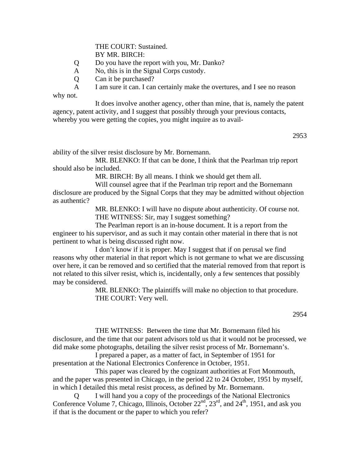THE COURT: Sustained. BY MR. BIRCH:

- Q Do you have the report with you, Mr. Danko?
- A No, this is in the Signal Corps custody.
- Q Can it be purchased?

 A I am sure it can. I can certainly make the overtures, and I see no reason why not.

 It does involve another agency, other than mine, that is, namely the patent agency, patent activity, and I suggest that possibly through your previous contacts, whereby you were getting the copies, you might inquire as to avail-

2953

ability of the silver resist disclosure by Mr. Bornemann.

 MR. BLENKO: If that can be done, I think that the Pearlman trip report should also be included.

MR. BIRCH: By all means. I think we should get them all.

 Will counsel agree that if the Pearlman trip report and the Bornemann disclosure are produced by the Signal Corps that they may be admitted without objection as authentic?

> MR. BLENKO: I will have no dispute about authenticity. Of course not. THE WITNESS: Sir, may I suggest something?

 The Pearlman report is an in-house document. It is a report from the engineer to his supervisor, and as such it may contain other material in there that is not pertinent to what is being discussed right now.

 I don't know if it is proper. May I suggest that if on perusal we find reasons why other material in that report which is not germane to what we are discussing over here, it can be removed and so certified that the material removed from that report is not related to this silver resist, which is, incidentally, only a few sentences that possibly may be considered.

> MR. BLENKO: The plaintiffs will make no objection to that procedure. THE COURT: Very well.

 THE WITNESS: Between the time that Mr. Bornemann filed his disclosure, and the time that our patent advisors told us that it would not be processed, we did make some photographs, detailing the silver resist process of Mr. Bornemann's.

 I prepared a paper, as a matter of fact, in September of 1951 for presentation at the National Electronics Conference in October, 1951.

 This paper was cleared by the cognizant authorities at Fort Monmouth, and the paper was presented in Chicago, in the period 22 to 24 October, 1951 by myself, in which I detailed this metal resist process, as defined by Mr. Bornemann.

I will hand you a copy of the proceedings of the National Electronics Conference Volume 7, Chicago, Illinois, October  $22<sup>nd</sup>$ ,  $23<sup>rd</sup>$ , and  $24<sup>th</sup>$ , 1951, and ask you if that is the document or the paper to which you refer?

<sup>2954</sup>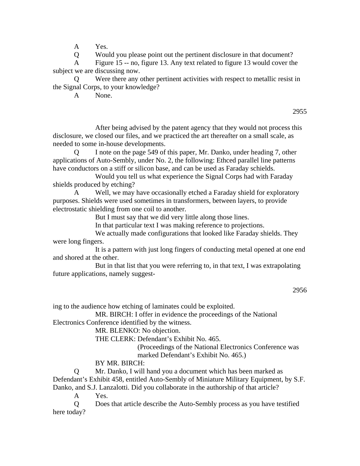A Yes.

Q Would you please point out the pertinent disclosure in that document?

 A Figure 15 -- no, figure 13. Any text related to figure 13 would cover the subject we are discussing now.

Were there any other pertinent activities with respect to metallic resist in the Signal Corps, to your knowledge?

A None.

2955

 After being advised by the patent agency that they would not process this disclosure, we closed our files, and we practiced the art thereafter on a small scale, as needed to some in-house developments.

I note on the page 549 of this paper, Mr. Danko, under heading 7, other applications of Auto-Sembly, under No. 2, the following: Ethced parallel line patterns have conductors on a stiff or silicon base, and can be used as Faraday schields.

 Would you tell us what experience the Signal Corps had with Faraday shields produced by etching?

 A Well, we may have occasionally etched a Faraday shield for exploratory purposes. Shields were used sometimes in transformers, between layers, to provide electrostatic shielding from one coil to another.

But I must say that we did very little along those lines.

In that particular text I was making reference to projections.

 We actually made configurations that looked like Faraday shields. They were long fingers.

 It is a pattern with just long fingers of conducting metal opened at one end and shored at the other.

 But in that list that you were referring to, in that text, I was extrapolating future applications, namely suggest-

ing to the audience how etching of laminates could be exploited.

 MR. BIRCH: I offer in evidence the proceedings of the National Electronics Conference identified by the witness.

MR. BLENKO: No objection.

THE CLERK: Defendant's Exhibit No. 465.

(Proceedings of the National Electronics Conference was marked Defendant's Exhibit No. 465.)

BY MR. BIRCH:

 Q Mr. Danko, I will hand you a document which has been marked as Defendant's Exhibit 458, entitled Auto-Sembly of Miniature Military Equipment, by S.F. Danko, and S.J. Lanzalotti. Did you collaborate in the authorship of that article?

A Yes.

 Q Does that article describe the Auto-Sembly process as you have testified here today?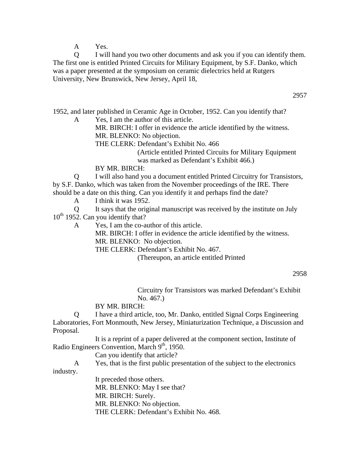A Yes.

 Q I will hand you two other documents and ask you if you can identify them. The first one is entitled Printed Circuits for Military Equipment, by S.F. Danko, which was a paper presented at the symposium on ceramic dielectrics held at Rutgers University, New Brunswick, New Jersey, April 18,

2957

1952, and later published in Ceramic Age in October, 1952. Can you identify that?

A Yes, I am the author of this article.

 MR. BIRCH: I offer in evidence the article identified by the witness. MR. BLENKO: No objection.

THE CLERK: Defendant's Exhibit No. 466

(Article entitled Printed Circuits for Military Equipment was marked as Defendant's Exhibit 466.)

BY MR. BIRCH:

 Q I will also hand you a document entitled Printed Circuitry for Transistors, by S.F. Danko, which was taken from the November proceedings of the IRE. There should be a date on this thing. Can you identify it and perhaps find the date?

A I think it was 1952.

 Q It says that the original manuscript was received by the institute on July  $10^{th}$  1952. Can you identify that?

A Yes, I am the co-author of this article.

 MR. BIRCH: I offer in evidence the article identified by the witness. MR. BLENKO: No objection.

THE CLERK: Defendant's Exhibit No. 467.

(Thereupon, an article entitled Printed

2958

Circuitry for Transistors was marked Defendant's Exhibit No. 467.)

## BY MR. BIRCH:

 Q I have a third article, too, Mr. Danko, entitled Signal Corps Engineering Laboratories, Fort Monmouth, New Jersey, Miniaturization Technique, a Discussion and Proposal.

 It is a reprint of a paper delivered at the component section, Institute of Radio Engineers Convention, March 9<sup>th</sup>, 1950.

Can you identify that article?

A Yes, that is the first public presentation of the subject to the electronics

industry.

 It preceded those others. MR. BLENKO: May I see that? MR. BIRCH: Surely. MR. BLENKO: No objection. THE CLERK: Defendant's Exhibit No. 468.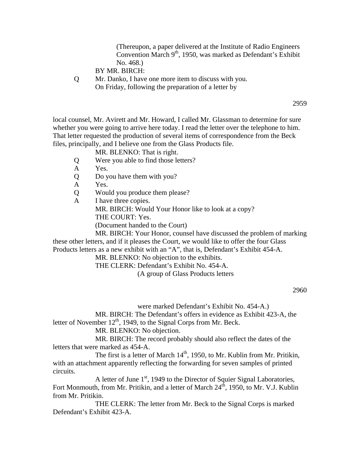(Thereupon, a paper delivered at the Institute of Radio Engineers Convention March 9<sup>th</sup>, 1950, was marked as Defendant's Exhibit No. 468.)

BY MR. BIRCH:

 Q Mr. Danko, I have one more item to discuss with you. On Friday, following the preparation of a letter by

2959

local counsel, Mr. Avirett and Mr. Howard, I called Mr. Glassman to determine for sure whether you were going to arrive here today. I read the letter over the telephone to him. That letter requested the production of several items of correspondence from the Beck files, principally, and I believe one from the Glass Products file.

MR. BLENKO: That is right.

- Q Were you able to find those letters?
- A Yes.
- Q Do you have them with you?
- A Yes.
- Q Would you produce them please?
- A I have three copies.

MR. BIRCH: Would Your Honor like to look at a copy?

THE COURT: Yes.

(Document handed to the Court)

 MR. BIRCH: Your Honor, counsel have discussed the problem of marking these other letters, and if it pleases the Court, we would like to offer the four Glass

Products letters as a new exhibit with an "A", that is, Defendant's Exhibit 454-A.

MR. BLENKO: No objection to the exhibits.

THE CLERK: Defendant's Exhibit No. 454-A.

(A group of Glass Products letters

2960

were marked Defendant's Exhibit No. 454-A.)

 MR. BIRCH: The Defendant's offers in evidence as Exhibit 423-A, the letter of November  $12<sup>th</sup>$ , 1949, to the Signal Corps from Mr. Beck.

MR. BLENKO: No objection.

 MR. BIRCH: The record probably should also reflect the dates of the letters that were marked as 454-A.

The first is a letter of March  $14<sup>th</sup>$ , 1950, to Mr. Kublin from Mr. Pritikin, with an attachment apparently reflecting the forwarding for seven samples of printed circuits.

A letter of June 1<sup>st</sup>, 1949 to the Director of Squier Signal Laboratories, Fort Monmouth, from Mr. Pritikin, and a letter of March  $24<sup>th</sup>$ , 1950, to Mr. V.J. Kublin from Mr. Pritikin.

 THE CLERK: The letter from Mr. Beck to the Signal Corps is marked Defendant's Exhibit 423-A.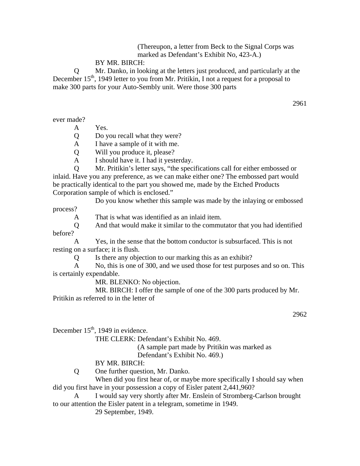(Thereupon, a letter from Beck to the Signal Corps was marked as Defendant's Exhibit No, 423-A.)

#### BY MR. BIRCH:

 Q Mr. Danko, in looking at the letters just produced, and particularly at the December  $15<sup>th</sup>$ , 1949 letter to you from Mr. Pritikin, I not a request for a proposal to make 300 parts for your Auto-Sembly unit. Were those 300 parts

ever made?

A Yes.

Q Do you recall what they were?

A I have a sample of it with me.

Q Will you produce it, please?

A I should have it. I had it yesterday.

 Q Mr. Pritikin's letter says, "the specifications call for either embossed or inlaid. Have you any preference, as we can make either one? The embossed part would be practically identical to the part you showed me, made by the Etched Products Corporation sample of which is enclosed."

 Do you know whether this sample was made by the inlaying or embossed process?

A That is what was identified as an inlaid item.

 Q And that would make it similar to the commutator that you had identified before?

 A Yes, in the sense that the bottom conductor is subsurfaced. This is not resting on a surface; it is flush.

Q Is there any objection to our marking this as an exhibit?

 A No, this is one of 300, and we used those for test purposes and so on. This is certainly expendable.

MR. BLENKO: No objection.

 MR. BIRCH: I offer the sample of one of the 300 parts produced by Mr. Pritikin as referred to in the letter of

2962

December  $15<sup>th</sup>$ , 1949 in evidence.

THE CLERK: Defendant's Exhibit No. 469.

(A sample part made by Pritikin was marked as

Defendant's Exhibit No. 469.)

BY MR. BIRCH:

Q One further question, Mr. Danko.

When did you first hear of, or maybe more specifically I should say when did you first have in your possession a copy of Eisler patent 2,441,960?

 A I would say very shortly after Mr. Enslein of Stromberg-Carlson brought to our attention the Eisler patent in a telegram, sometime in 1949.

29 September, 1949.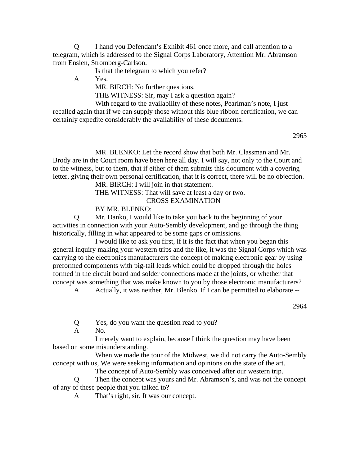Q I hand you Defendant's Exhibit 461 once more, and call attention to a telegram, which is addressed to the Signal Corps Laboratory, Attention Mr. Abramson from Enslen, Stromberg-Carlson.

Is that the telegram to which you refer?

A Yes.

MR. BIRCH: No further questions.

THE WITNESS: Sir, may I ask a question again?

 With regard to the availability of these notes, Pearlman's note, I just recalled again that if we can supply those without this blue ribbon certification, we can certainly expedite considerably the availability of these documents.

2963

 MR. BLENKO: Let the record show that both Mr. Classman and Mr. Brody are in the Court room have been here all day. I will say, not only to the Court and to the witness, but to them, that if either of them submits this document with a covering letter, giving their own personal certification, that it is correct, there will be no objection.

MR. BIRCH: I will join in that statement.

THE WITNESS: That will save at least a day or two.

CROSS EXAMINATION

BY MR. BLENKO:

 Q Mr. Danko, I would like to take you back to the beginning of your activities in connection with your Auto-Sembly development, and go through the thing historically, filling in what appeared to be some gaps or omissions.

 I would like to ask you first, if it is the fact that when you began this general inquiry making your western trips and the like, it was the Signal Corps which was carrying to the electronics manufacturers the concept of making electronic gear by using preformed components with pig-tail leads which could be dropped through the holes formed in the circuit board and solder connections made at the joints, or whether that concept was something that was make known to you by those electronic manufacturers?

A Actually, it was neither, Mr. Blenko. If I can be permitted to elaborate --

2964

Q Yes, do you want the question read to you?

A No.

 I merely want to explain, because I think the question may have been based on some misunderstanding.

 When we made the tour of the Midwest, we did not carry the Auto-Sembly concept with us, We were seeking information and opinions on the state of the art.

The concept of Auto-Sembly was conceived after our western trip.

 Q Then the concept was yours and Mr. Abramson's, and was not the concept of any of these people that you talked to?

A That's right, sir. It was our concept.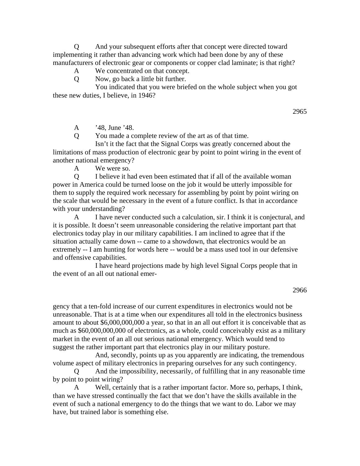Q And your subsequent efforts after that concept were directed toward implementing it rather than advancing work which had been done by any of these manufacturers of electronic gear or components or copper clad laminate; is that right?

## A We concentrated on that concept.

Q Now, go back a little bit further.

 You indicated that you were briefed on the whole subject when you got these new duties, I believe, in 1946?

2965

A '48, June '48.

Q You made a complete review of the art as of that time.

 Isn't it the fact that the Signal Corps was greatly concerned about the limitations of mass production of electronic gear by point to point wiring in the event of another national emergency?

A We were so.

 Q I believe it had even been estimated that if all of the available woman power in America could be turned loose on the job it would be utterly impossible for them to supply the required work necessary for assembling by point by point wiring on the scale that would be necessary in the event of a future conflict. Is that in accordance with your understanding?

 A I have never conducted such a calculation, sir. I think it is conjectural, and it is possible. It doesn't seem unreasonable considering the relative important part that electronics today play in our military capabilities. I am inclined to agree that if the situation actually came down -- came to a showdown, that electronics would be an extremely -- I am hunting for words here -- would be a mass used tool in our defensive and offensive capabilities.

 I have heard projections made by high level Signal Corps people that in the event of an all out national emer-

2966

gency that a ten-fold increase of our current expenditures in electronics would not be unreasonable. That is at a time when our expenditures all told in the electronics business amount to about \$6,000,000,000 a year, so that in an all out effort it is conceivable that as much as \$60,000,000,000 of electronics, as a whole, could conceivably exist as a military market in the event of an all out serious national emergency. Which would tend to suggest the rather important part that electronics play in our military posture.

 And, secondly, points up as you apparently are indicating, the tremendous volume aspect of military electronics in preparing ourselves for any such contingency.

 Q And the impossibility, necessarily, of fulfilling that in any reasonable time by point to point wiring?

 A Well, certainly that is a rather important factor. More so, perhaps, I think, than we have stressed continually the fact that we don't have the skills available in the event of such a national emergency to do the things that we want to do. Labor we may have, but trained labor is something else.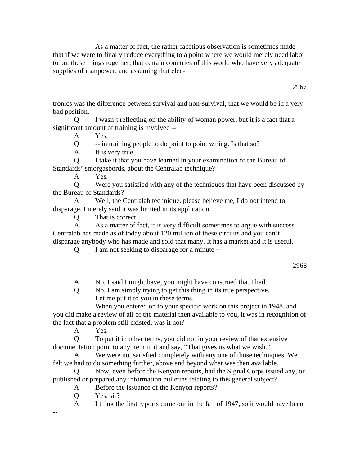As a matter of fact, the rather facetious observation is sometimes made that if we were to finally reduce everything to a point where we would merely need labor to put these things together, that certain countries of this world who have very adequate supplies of manpower, and assuming that elec-

tronics was the difference between survival and non-survival, that we would be in a very bad position.

 Q I wasn't reflecting on the ability of woman power, but it is a fact that a significant amount of training is involved --

A Yes.

Q -- in training people to do point to point wiring. Is that so?

A It is very true.

 Q I take it that you have learned in your examination of the Bureau of Standards' smorgasbords, about the Centralab technique?

A Yes.

 Q Were you satisfied with any of the techniques that have been discussed by the Bureau of Standards?

 A Well, the Centralab technique, please believe me, I do not intend to disparage, I merely said it was limited in its application.

Q That is correct.

 A As a matter of fact, it is very difficult sometimes to argue with success. Centralab has made as of today about 120 million of these circuits and you can't disparage anybody who has made and sold that many. It has a market and it is useful.

Q I am not seeking to disparage for a minute --

2968

A No, I said I might have, you might have construed that I had.

 Q No, I am simply trying to get this thing in its true perspective. Let me put it to you in these terms.

 When you entered on to your specific work on this project in 1948, and you did make a review of all of the material then available to you, it was in recognition of the fact that a problem still existed, was it not?

A Yes.

 Q To put it in other terms, you did not in your review of that extensive documentation point to any item in it and say, "That gives us what we wish."

 A We were not satisfied completely with any one of those techniques. We felt we had to do something further, above and beyond what was then available.

 Q Now, even before the Kenyon reports, had the Signal Corps issued any, or published or prepared any information bulletins relating to this general subject?

- A Before the issuance of the Kenyon reports?
- Q Yes, sir?

A I think the first reports came out in the fall of 1947, so it would have been

--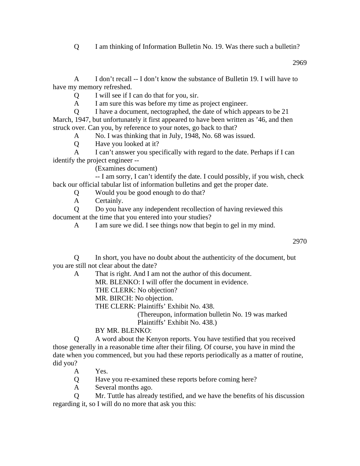Q I am thinking of Information Bulletin No. 19. Was there such a bulletin?

2969

 A I don't recall -- I don't know the substance of Bulletin 19. I will have to have my memory refreshed.

Q I will see if I can do that for you, sir.

A I am sure this was before my time as project engineer.

 Q I have a document, nectographed, the date of which appears to be 21 March, 1947, but unfortunately it first appeared to have been written as '46, and then struck over. Can you, by reference to your notes, go back to that?

A No. I was thinking that in July, 1948, No. 68 was issued.

Q Have you looked at it?

 A I can't answer you specifically with regard to the date. Perhaps if I can identify the project engineer --

(Examines document)

 -- I am sorry, I can't identify the date. I could possibly, if you wish, check back our official tabular list of information bulletins and get the proper date.

Q Would you be good enough to do that?

A Certainly.

 Q Do you have any independent recollection of having reviewed this document at the time that you entered into your studies?

A I am sure we did. I see things now that begin to gel in my mind.

2970

 Q In short, you have no doubt about the authenticity of the document, but you are still not clear about the date?

A That is right. And I am not the author of this document.

MR. BLENKO: I will offer the document in evidence.

THE CLERK: No objection?

MR. BIRCH: No objection.

THE CLERK: Plaintiffs' Exhibit No. 438.

(Thereupon, information bulletin No. 19 was marked Plaintiffs' Exhibit No. 438.)

BY MR. BLENKO:

 Q A word about the Kenyon reports. You have testified that you received those generally in a reasonable time after their filing. Of course, you have in mind the date when you commenced, but you had these reports periodically as a matter of routine, did you?

- A Yes.
- Q Have you re-examined these reports before coming here?
- A Several months ago.

 Q Mr. Tuttle has already testified, and we have the benefits of his discussion regarding it, so I will do no more that ask you this: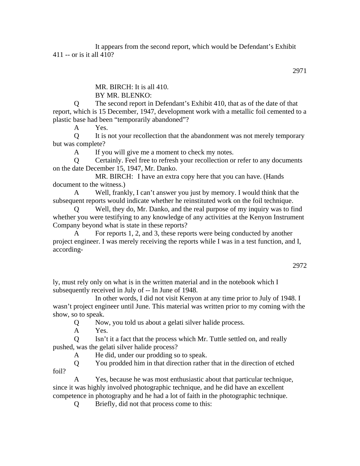It appears from the second report, which would be Defendant's Exhibit 411 -- or is it all 410?

MR. BIRCH: It is all 410.

BY MR. BLENKO:

 Q The second report in Defendant's Exhibit 410, that as of the date of that report, which is 15 December, 1947, development work with a metallic foil cemented to a plastic base had been "temporarily abandoned"?

A Yes.

 Q It is not your recollection that the abandonment was not merely temporary but was complete?

A If you will give me a moment to check my notes.

 Q Certainly. Feel free to refresh your recollection or refer to any documents on the date December 15, 1947, Mr. Danko.

 MR. BIRCH: I have an extra copy here that you can have. (Hands document to the witness.)

 A Well, frankly, I can't answer you just by memory. I would think that the subsequent reports would indicate whether he reinstituted work on the foil technique.

Well, they do, Mr. Danko, and the real purpose of my inquiry was to find whether you were testifying to any knowledge of any activities at the Kenyon Instrument Company beyond what is state in these reports?

For reports 1, 2, and 3, these reports were being conducted by another project engineer. I was merely receiving the reports while I was in a test function, and I, according-

ly, must rely only on what is in the written material and in the notebook which I subsequently received in July of -- In June of 1948.

 In other words, I did not visit Kenyon at any time prior to July of 1948. I wasn't project engineer until June. This material was written prior to my coming with the show, so to speak.

Q Now, you told us about a gelati silver halide process.

A Yes.

 Q Isn't it a fact that the process which Mr. Tuttle settled on, and really pushed, was the gelati silver halide process?

A He did, under our prodding so to speak.

 Q You prodded him in that direction rather that in the direction of etched foil?

 A Yes, because he was most enthusiastic about that particular technique, since it was highly involved photographic technique, and he did have an excellent competence in photography and he had a lot of faith in the photographic technique.

Q Briefly, did not that process come to this: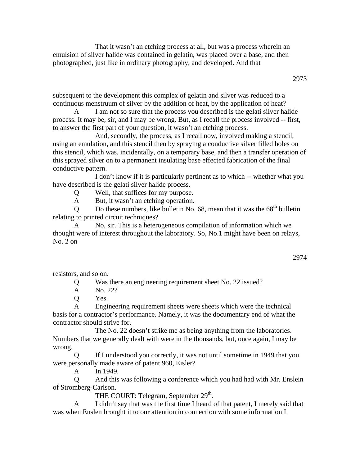That it wasn't an etching process at all, but was a process wherein an emulsion of silver halide was contained in gelatin, was placed over a base, and then photographed, just like in ordinary photography, and developed. And that

subsequent to the development this complex of gelatin and silver was reduced to a continuous menstruum of silver by the addition of heat, by the application of heat?

 A I am not so sure that the process you described is the gelati silver halide process. It may be, sir, and I may be wrong. But, as I recall the process involved -- first, to answer the first part of your question, it wasn't an etching process.

 And, secondly, the process, as I recall now, involved making a stencil, using an emulation, and this stencil then by spraying a conductive silver filled holes on this stencil, which was, incidentally, on a temporary base, and then a transfer operation of this sprayed silver on to a permanent insulating base effected fabrication of the final conductive pattern.

 I don't know if it is particularly pertinent as to which -- whether what you have described is the gelati silver halide process.

Q Well, that suffices for my purpose.

A But, it wasn't an etching operation.

Q Do these numbers, like bulletin No.  $68$ , mean that it was the  $68<sup>th</sup>$  bulletin relating to printed circuit techniques?

 A No, sir. This is a heterogeneous compilation of information which we thought were of interest throughout the laboratory. So, No.1 might have been on relays,  $No. 2 on$ 

2974

resistors, and so on.

Q Was there an engineering requirement sheet No. 22 issued?

A No. 22?

Q Yes.

 A Engineering requirement sheets were sheets which were the technical basis for a contractor's performance. Namely, it was the documentary end of what the contractor should strive for.

 The No. 22 doesn't strike me as being anything from the laboratories. Numbers that we generally dealt with were in the thousands, but, once again, I may be wrong.

 Q If I understood you correctly, it was not until sometime in 1949 that you were personally made aware of patent 960, Eisler?

A In 1949.

 Q And this was following a conference which you had had with Mr. Enslein of Stromberg-Carlson.

THE COURT: Telegram, September  $29<sup>th</sup>$ .

 A I didn't say that was the first time I heard of that patent, I merely said that was when Enslen brought it to our attention in connection with some information I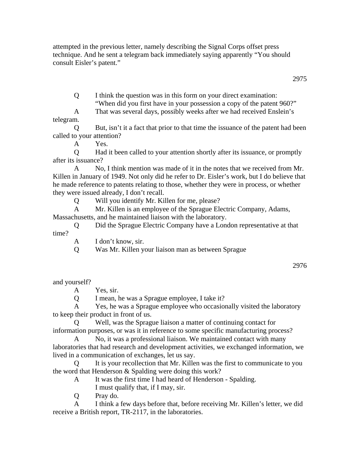attempted in the previous letter, namely describing the Signal Corps offset press technique. And he sent a telegram back immediately saying apparently "You should consult Eisler's patent."

2975

Q I think the question was in this form on your direct examination:

"When did you first have in your possession a copy of the patent 960?"

 A That was several days, possibly weeks after we had received Enslein's telegram.

 Q But, isn't it a fact that prior to that time the issuance of the patent had been called to your attention?

A Yes.

 Q Had it been called to your attention shortly after its issuance, or promptly after its issuance?

 A No, I think mention was made of it in the notes that we received from Mr. Killen in January of 1949. Not only did he refer to Dr. Eisler's work, but I do believe that he made reference to patents relating to those, whether they were in process, or whether they were issued already, I don't recall.

Q Will you identify Mr. Killen for me, please?

 A Mr. Killen is an employee of the Sprague Electric Company, Adams, Massachusetts, and he maintained liaison with the laboratory.

 Q Did the Sprague Electric Company have a London representative at that time?

A I don't know, sir.

Q Was Mr. Killen your liaison man as between Sprague

2976

and yourself?

A Yes, sir.

Q I mean, he was a Sprague employee, I take it?

 A Yes, he was a Sprague employee who occasionally visited the laboratory to keep their product in front of us.

 Q Well, was the Sprague liaison a matter of continuing contact for information purposes, or was it in reference to some specific manufacturing process?

 A No, it was a professional liaison. We maintained contact with many laboratories that had research and development activities, we exchanged information, we lived in a communication of exchanges, let us say.

 Q It is your recollection that Mr. Killen was the first to communicate to you the word that Henderson & Spalding were doing this work?

- A It was the first time I had heard of Henderson Spalding.
	- I must qualify that, if I may, sir.

Q Pray do.

 A I think a few days before that, before receiving Mr. Killen's letter, we did receive a British report, TR-2117, in the laboratories.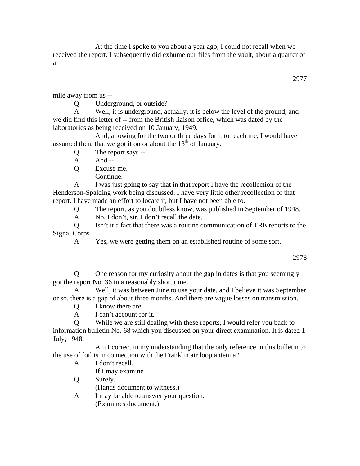At the time I spoke to you about a year ago, I could not recall when we received the report. I subsequently did exhume our files from the vault, about a quarter of a

mile away from us --

Q Underground, or outside?

 A Well, it is underground, actually, it is below the level of the ground, and we did find this letter of -- from the British liaison office, which was dated by the laboratories as being received on 10 January, 1949.

 And, allowing for the two or three days for it to reach me, I would have assumed then, that we got it on or about the  $13<sup>th</sup>$  of January.

Q The report says --

 $A$  And --

Q Excuse me.

Continue.

 A I was just going to say that in that report I have the recollection of the Henderson-Spalding work being discussed. I have very little other recollection of that report. I have made an effort to locate it, but I have not been able to.

Q The report, as you doubtless know, was published in September of 1948.

A No, I don't, sir. I don't recall the date.

 Q Isn't it a fact that there was a routine communication of TRE reports to the Signal Corps?

A Yes, we were getting them on an established routine of some sort.

2978

 Q One reason for my curiosity about the gap in dates is that you seemingly got the report No. 36 in a reasonably short time.

 A Well, it was between June to use your date, and I believe it was September or so, there is a gap of about three months. And there are vague losses on transmission.

Q I know there are.

A I can't account for it.

 Q While we are still dealing with these reports, I would refer you back to information bulletin No. 68 which you discussed on your direct examination. It is dated 1 July, 1948.

 Am I correct in my understanding that the only reference in this bulletin to the use of foil is in connection with the Franklin air loop antenna?

A I don't recall.

If I may examine?

Q Surely.

(Hands document to witness.)

 A I may be able to answer your question. (Examines document.)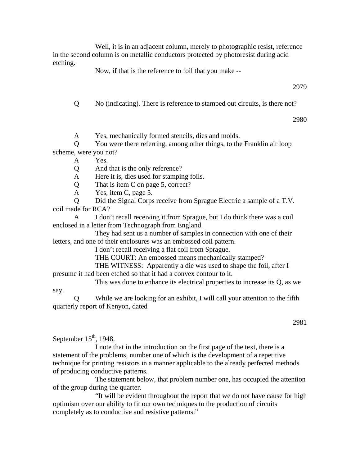Well, it is in an adjacent column, merely to photographic resist, reference in the second column is on metallic conductors protected by photoresist during acid etching.

Now, if that is the reference to foil that you make --

2979

Q No (indicating). There is reference to stamped out circuits, is there not?

2980

A Yes, mechanically formed stencils, dies and molds.

 Q You were there referring, among other things, to the Franklin air loop scheme, were you not?

A Yes.

Q And that is the only reference?

A Here it is, dies used for stamping foils.

Q That is item C on page 5, correct?

A Yes, item C, page 5.

 Q Did the Signal Corps receive from Sprague Electric a sample of a T.V. coil made for RCA?

 A I don't recall receiving it from Sprague, but I do think there was a coil enclosed in a letter from Technograph from England.

 They had sent us a number of samples in connection with one of their letters, and one of their enclosures was an embossed coil pattern.

I don't recall receiving a flat coil from Sprague.

THE COURT: An embossed means mechanically stamped?

THE WITNESS: Apparently a die was used to shape the foil, after I

presume it had been etched so that it had a convex contour to it.

 This was done to enhance its electrical properties to increase its Q, as we say.

 Q While we are looking for an exhibit, I will call your attention to the fifth quarterly report of Kenyon, dated

September  $15<sup>th</sup>$ , 1948.

 I note that in the introduction on the first page of the text, there is a statement of the problems, number one of which is the development of a repetitive technique for printing resistors in a manner applicable to the already perfected methods of producing conductive patterns.

 The statement below, that problem number one, has occupied the attention of the group during the quarter.

 "It will be evident throughout the report that we do not have cause for high optimism over our ability to fit our own techniques to the production of circuits completely as to conductive and resistive patterns."

<sup>2981</sup>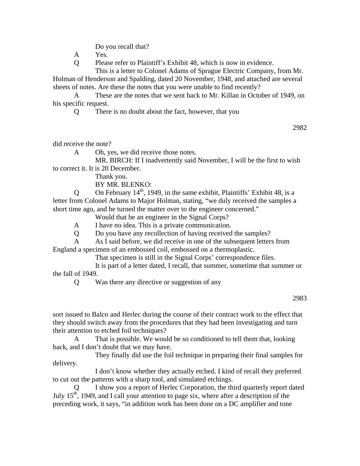Do you recall that?

A Yes.

Q Please refer to Plaintiff's Exhibit 48, which is now in evidence.

This is a letter to Colonel Adams of Sprague Electric Company, from Mr.

Holman of Henderson and Spalding, dated 20 November, 1948, and attached are several sheets of notes. Are these the notes that you were unable to find recently?

 A These are the notes that we sent back to Mr. Killan in October of 1949, on his specific request.

Q There is no doubt about the fact, however, that you

2982

did receive the note?

A Oh, yes, we did receive those notes.

 MR. BIRCH: If I inadvertently said November, I will be the first to wish to correct it. It is 20 December.

Thank you.

BY MR. BLENKO:

Q On February  $14<sup>th</sup>$ , 1949, in the same exhibit, Plaintiffs' Exhibit 48, is a letter from Colonel Adams to Major Holman, stating, "we duly received the samples a short time ago, and he turned the matter over to the engineer concerned."

Would that be an engineer in the Signal Corps?

A I have no idea. This is a private communication.

Q Do you have any recollection of having received the samples?

 A As I said before, we did receive in one of the subsequent letters from England a specimen of an embossed coil, embossed on a thermoplastic.

That specimen is still in the Signal Corps' correspondence files.

 It is part of a letter dated, I recall, that summer, sometime that summer or the fall of 1949.

Q Was there any directive or suggestion of any

## 2983

sort issued to Balco and Herlec during the course of their contract work to the effect that they should switch away from the procedures that they had been investigating and turn their attention to etched foil techniques?

 A That is possible. We would be so conditioned to tell them that, looking back, and I don't doubt that we may have.

 They finally did use the foil technique in preparing their final samples for delivery.

 I don't know whether they actually etched. I kind of recall they preferred to cut out the patterns with a sharp tool, and simulated etchings.

I show you a report of Herlec Corporation, the third quarterly report dated July  $15<sup>th</sup>$ , 1949, and I call your attention to page six, where after a description of the preceding work, it says, "in addition work has been done on a DC amplifier and tone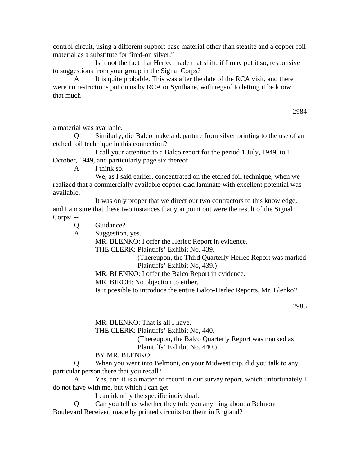control circuit, using a different support base material other than steatite and a copper foil material as a substitute for fired-on silver."

 Is it not the fact that Herlec made that shift, if I may put it so, responsive to suggestions from your group in the Signal Corps?

A It is quite probable. This was after the date of the RCA visit, and there were no restrictions put on us by RCA or Synthane, with regard to letting it be known that much

2984

a material was available.

 Q Similarly, did Balco make a departure from silver printing to the use of an etched foil technique in this connection?

 I call your attention to a Balco report for the period 1 July, 1949, to 1 October, 1949, and particularly page six thereof.

A I think so.

 We, as I said earlier, concentrated on the etched foil technique, when we realized that a commercially available copper clad laminate with excellent potential was available.

 It was only proper that we direct our two contractors to this knowledge, and I am sure that these two instances that you point out were the result of the Signal Corps' --

Q Guidance?

A Suggestion, yes.

MR. BLENKO: I offer the Herlec Report in evidence.

THE CLERK: Plaintiffs' Exhibit No. 439.

(Thereupon, the Third Quarterly Herlec Report was marked Plaintiffs' Exhibit No, 439.)

MR. BLENKO: I offer the Balco Report in evidence.

MR. BIRCH: No objection to either.

Is it possible to introduce the entire Balco-Herlec Reports, Mr. Blenko?

2985

MR. BLENKO: That is all I have.

THE CLERK: Plaintiffs' Exhibit No, 440.

(Thereupon, the Balco Quarterly Report was marked as Plaintiffs' Exhibit No. 440.)

BY MR. BLENKO:

 Q When you went into Belmont, on your Midwest trip, did you talk to any particular person there that you recall?

 A Yes, and it is a matter of record in our survey report, which unfortunately I do not have with me, but which I can get.

I can identify the specific individual.

 Q Can you tell us whether they told you anything about a Belmont Boulevard Receiver, made by printed circuits for them in England?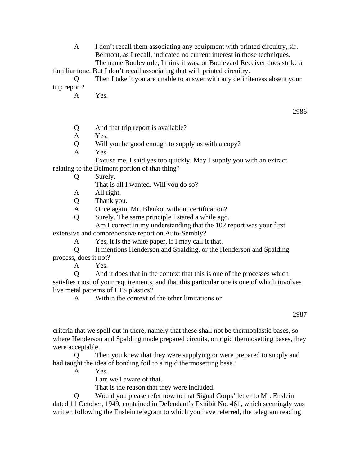A I don't recall them associating any equipment with printed circuitry, sir. Belmont, as I recall, indicated no current interest in those techniques. The name Boulevarde, I think it was, or Boulevard Receiver does strike a

familiar tone. But I don't recall associating that with printed circuitry.

 Q Then I take it you are unable to answer with any definiteness absent your trip report?

A Yes.

- Q And that trip report is available?
- A Yes.

Q Will you be good enough to supply us with a copy?

A Yes.

 Excuse me, I said yes too quickly. May I supply you with an extract relating to the Belmont portion of that thing?

Q Surely.

That is all I wanted. Will you do so?

- A All right.
- Q Thank you.

A Once again, Mr. Blenko, without certification?

Q Surely. The same principle I stated a while ago.

 Am I correct in my understanding that the 102 report was your first extensive and comprehensive report on Auto-Sembly?

A Yes, it is the white paper, if I may call it that.

 Q It mentions Henderson and Spalding, or the Henderson and Spalding process, does it not?

A Yes.

 Q And it does that in the context that this is one of the processes which satisfies most of your requirements, and that this particular one is one of which involves live metal patterns of LTS plastics?

A Within the context of the other limitations or

criteria that we spell out in there, namely that these shall not be thermoplastic bases, so where Henderson and Spalding made prepared circuits, on rigid thermosetting bases, they were acceptable.

 Q Then you knew that they were supplying or were prepared to supply and had taught the idea of bonding foil to a rigid thermosetting base?

A Yes.

I am well aware of that.

That is the reason that they were included.

 Q Would you please refer now to that Signal Corps' letter to Mr. Enslein dated 11 October, 1949, contained in Defendant's Exhibit No. 461, which seemingly was written following the Enslein telegram to which you have referred, the telegram reading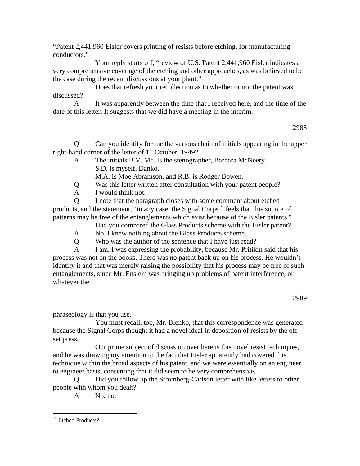"Patent 2,441,960 Eisler covers printing of resists before etching, for manufacturing conductors."

 Your reply starts off, "review of U.S. Patent 2,441,960 Eisler indicates a very comprehensive coverage of the etching and other approaches, as was believed to be the case during the recent discussions at your plant."

 Does that refresh your recollection as to whether or not the patent was discussed?

 A It was apparently between the time that I received here, and the time of the date of this letter. It suggests that we did have a meeting in the interim.

2988

 Q Can you identify for me the various chain of initials appearing in the upper right-hand corner of the letter of 11 October, 1949?

 A The initials B.V. Mc. Is the stenographer, Barbara McNeery. S.D. is myself, Danko.

M.A. is Moe Abramson, and R.B. is Rodger Bowen.

- Q Was this letter written after consultation with your patent people?
- A I would think not.

 Q I note that the paragraph closes with some comment about etched products, and the statement, "in any case, the Signal Corps<sup>[10](#page-75-0)</sup> feels that this source of patterns may be free of the entanglements which exist because of the Eisler patents."

Had you compared the Glass Products scheme with the Eisler patent?

A No, I knew nothing about the Glass Products scheme.

Q Who was the author of the sentence that I have just read?

 A I am. I was expressing the probability, because Mr. Pritikin said that his process was not on the books. There was no patent back up on his process. He wouldn't identify it and that was merely raising the possibility that his process may be free of such entanglements, since Mr. Enslein was bringing up problems of patent interference, or whatever the

phraseology is that you use.

 You must recall, too, Mr. Blenko, that this correspondence was generated because the Signal Corps thought it had a novel ideal in deposition of resists by the offset press.

 Our prime subject of discussion over here is this novel resist techniques, and he was drawing my attention to the fact that Eisler apparently had covered this technique within the broad aspects of his patent, and we were essentially on an engineer to engineer basis, consenting that it did seem to be very comprehensive.

 Q Did you follow up the Stromberg-Carlson letter with like letters to other people with whom you dealt?

A No, no.

 $\overline{a}$ 

<span id="page-75-0"></span><sup>&</sup>lt;sup>10</sup> Etched Products?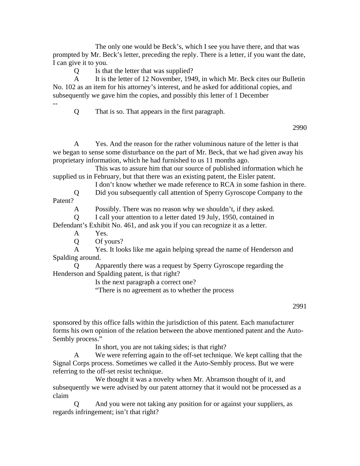The only one would be Beck's, which I see you have there, and that was prompted by Mr. Beck's letter, preceding the reply. There is a letter, if you want the date, I can give it to you.

Q Is that the letter that was supplied?

A It is the letter of 12 November, 1949, in which Mr. Beck cites our Bulletin No. 102 as an item for his attorney's interest, and he asked for additional copies, and subsequently we gave him the copies, and possibly this letter of 1 December

--

Q That is so. That appears in the first paragraph.

2990

 A Yes. And the reason for the rather voluminous nature of the letter is that we began to sense some disturbance on the part of Mr. Beck, that we had given away his proprietary information, which he had furnished to us 11 months ago.

 This was to assure him that our source of published information which he supplied us in February, but that there was an existing patent, the Eisler patent.

I don't know whether we made reference to RCA in some fashion in there.

 Q Did you subsequently call attention of Sperry Gyroscope Company to the Patent?

A Possibly. There was no reason why we shouldn't, if they asked.

Q I call your attention to a letter dated 19 July, 1950, contained in

Defendant's Exhibit No. 461, and ask you if you can recognize it as a letter.

A Yes.

Q Of yours?

 A Yes. It looks like me again helping spread the name of Henderson and Spalding around.

 Q Apparently there was a request by Sperry Gyroscope regarding the Henderson and Spalding patent, is that right?

Is the next paragraph a correct one?

"There is no agreement as to whether the process

## 2991

sponsored by this office falls within the jurisdiction of this patent. Each manufacturer forms his own opinion of the relation between the above mentioned patent and the Auto-Sembly process."

In short, you are not taking sides; is that right?

 A We were referring again to the off-set technique. We kept calling that the Signal Corps process. Sometimes we called it the Auto-Sembly process. But we were referring to the off-set resist technique.

 We thought it was a novelty when Mr. Abramson thought of it, and subsequently we were advised by our patent attorney that it would not be processed as a claim

 Q And you were not taking any position for or against your suppliers, as regards infringement; isn't that right?